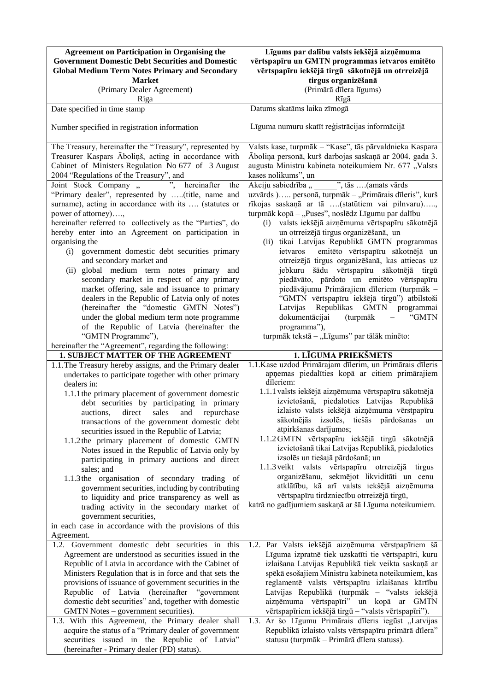| <b>Agreement on Participation in Organising the</b><br><b>Government Domestic Debt Securities and Domestic</b> | Līgums par dalību valsts iekšējā aizņēmuma<br>vērtspapīru un GMTN programmas ietvaros emitēto  |
|----------------------------------------------------------------------------------------------------------------|------------------------------------------------------------------------------------------------|
| <b>Global Medium Term Notes Primary and Secondary</b>                                                          | vērtspapīru iekšējā tirgū sākotnējā un otrreizējā                                              |
| <b>Market</b><br>(Primary Dealer Agreement)                                                                    | tirgus organizēšanā<br>(Primārā dīlera līgums)                                                 |
| Riga                                                                                                           | Rīgā                                                                                           |
| Date specified in time stamp                                                                                   | Datums skatāms laika zīmogā                                                                    |
| Number specified in registration information                                                                   | Līguma numuru skatīt reģistrācijas informācijā                                                 |
| The Treasury, hereinafter the "Treasury", represented by                                                       | Valsts kase, turpmāk - "Kase", tās pārvaldnieka Kaspara                                        |
| Treasurer Kaspars Āboliņš, acting in accordance with                                                           | Āboliņa personā, kurš darbojas saskaņā ar 2004. gada 3.                                        |
| Cabinet of Ministers Regulation No 677 of 3 August<br>2004 "Regulations of the Treasury", and                  | augusta Ministru kabineta noteikumiem Nr. 677 "Valsts<br>kases nolikums", un                   |
| Joint Stock Company "<br>hereinafter<br>the                                                                    | Akciju sabiedrība " _____ ", tās  (amats vārds                                                 |
| "Primary dealer", represented by (title, name and                                                              | uzvārds ) personā, turpmāk - "Primārais dīleris", kurš                                         |
| surname), acting in accordance with its  (statutes or                                                          | rīkojas saskaņā ar tā (statūtiem vai pilnvaru),                                                |
| power of attorney),                                                                                            | turpmāk kopā - "Puses", noslēdz Līgumu par dalību                                              |
| hereinafter referred to collectively as the "Parties", do                                                      | valsts iekšējā aizņēmuma vērtspapīru sākotnējā<br>(i)                                          |
| hereby enter into an Agreement on participation in                                                             | un otrreizējā tirgus organizēšanā, un                                                          |
| organising the                                                                                                 | (ii) tikai Latvijas Republikā GMTN programmas                                                  |
| (i) government domestic debt securities primary                                                                | emitēto vērtspapīru sākotnējā un<br>ietvaros                                                   |
| and secondary market and                                                                                       | otrreizējā tirgus organizēšanā, kas attiecas uz                                                |
| global medium term notes primary and<br>(ii)                                                                   | jebkuru šādu vērtspapīru sākotnējā tirgū                                                       |
| secondary market in respect of any primary                                                                     | piedāvāto, pārdoto un emitēto vērtspapīru                                                      |
| market offering, sale and issuance to primary<br>dealers in the Republic of Latvia only of notes               | piedāvājumu Primārajiem dīleriem (turpmāk -<br>"GMTN vērtspapīru iekšējā tirgū") atbilstoši    |
| (hereinafter the "domestic GMTN Notes")                                                                        | Republikas GMTN programmai<br>Latvijas                                                         |
| under the global medium term note programme                                                                    | dokumentācijai<br>(turpmāk<br>"GMTN                                                            |
| of the Republic of Latvia (hereinafter the                                                                     | programma"),                                                                                   |
| "GMTN Programme"),                                                                                             | turpmāk tekstā - "Līgums" par tālāk minēto:                                                    |
| hereinafter the "Agreement", regarding the following:                                                          |                                                                                                |
| 1. SUBJECT MATTER OF THE AGREEMENT                                                                             | 1. LĪGUMA PRIEKŠMETS                                                                           |
| 1.1. The Treasury hereby assigns, and the Primary dealer                                                       | 1.1. Kase uzdod Primārajam dīlerim, un Primārais dīleris                                       |
| undertakes to participate together with other primary                                                          | apņemas piedalīties kopā ar citiem primārajiem<br>dīleriem:                                    |
| dealers in:                                                                                                    | 1.1.1 valsts iekšējā aizņēmuma vērtspapīru sākotnējā                                           |
| 1.1.1 the primary placement of government domestic<br>debt securities by participating in primary              | izvietošanā, piedaloties Latvijas Republikā                                                    |
| auctions, direct sales and repurchase                                                                          | izlaisto valsts iekšējā aizņēmuma vērstpapīru                                                  |
| transactions of the government domestic debt                                                                   | sākotnējās izsolēs, tiešās pārdošanas un                                                       |
| securities issued in the Republic of Latvia;                                                                   | atpirkšanas darījumos;                                                                         |
| 1.1.2 the primary placement of domestic GMTN                                                                   | 1.1.2 GMTN vērtspapīru iekšējā tirgū sākotnējā                                                 |
| Notes issued in the Republic of Latvia only by                                                                 | izvietošanā tikai Latvijas Republikā, piedaloties                                              |
| participating in primary auctions and direct                                                                   | izsolēs un tiešajā pārdošanā; un                                                               |
| sales; and                                                                                                     | 1.1.3 veikt valsts vērtspapīru otrreizējā tirgus                                               |
| 1.1.3 the organisation of secondary trading of                                                                 | organizēšanu, sekmējot likviditāti un cenu<br>atklātību, kā arī valsts iekšējā aizņēmuma       |
| government securities, including by contributing                                                               | vērtspapīru tirdzniecību otrreizējā tirgū,                                                     |
| to liquidity and price transparency as well as<br>trading activity in the secondary market of                  | katrā no gadījumiem saskaņā ar šā Līguma noteikumiem.                                          |
| government securities,                                                                                         |                                                                                                |
| in each case in accordance with the provisions of this                                                         |                                                                                                |
| Agreement.                                                                                                     |                                                                                                |
| 1.2. Government domestic debt securities in this                                                               | 1.2. Par Valsts iekšējā aizņēmuma vērstpapīriem šā                                             |
| Agreement are understood as securities issued in the                                                           | Līguma izpratnē tiek uzskatīti tie vērtspapīri, kuru                                           |
| Republic of Latvia in accordance with the Cabinet of                                                           | izlaišana Latvijas Republikā tiek veikta saskaņā ar                                            |
| Ministers Regulation that is in force and that sets the                                                        | spēkā esošajiem Ministru kabineta noteikumiem, kas                                             |
| provisions of issuance of government securities in the                                                         | reglamentē valsts vērtspapīru izlaišanas kārtību                                               |
| Republic of Latvia (hereinafter "government                                                                    | Latvijas Republikā (turpmāk - "valsts iekšējā                                                  |
| domestic debt securities" and, together with domestic<br>GMTN Notes – government securities).                  | aizņēmuma vērtspapīri" un kopā ar GMTN<br>vērtspapīriem iekšējā tirgū - "valsts vērtspapīri"). |
| 1.3. With this Agreement, the Primary dealer shall                                                             | 1.3. Ar šo Līgumu Primārais dīleris iegūst "Latvijas                                           |
| acquire the status of a "Primary dealer of government                                                          | Republikā izlaisto valsts vērtspapīru primārā dīlera"                                          |
| securities issued in the Republic of Latvia"                                                                   | statusu (turpmāk - Primārā dīlera statuss).                                                    |
|                                                                                                                |                                                                                                |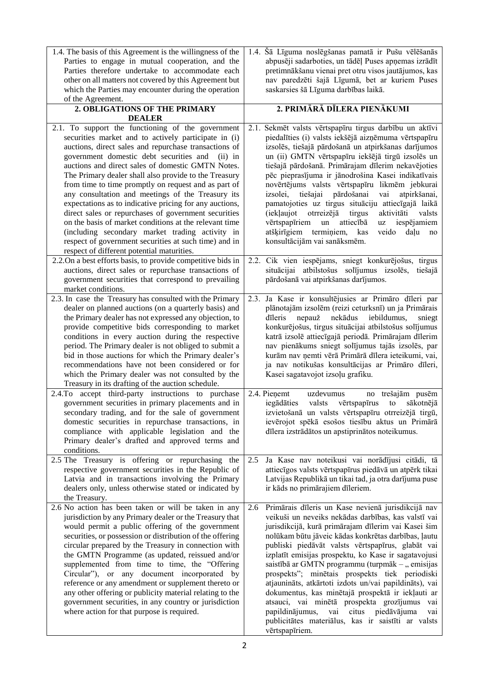| 1.4. The basis of this Agreement is the willingness of the<br>Parties to engage in mutual cooperation, and the<br>Parties therefore undertake to accommodate each<br>other on all matters not covered by this Agreement but<br>which the Parties may encounter during the operation<br>of the Agreement.                                                                                                                                                                                                                                                                                                                                                                                                                                                                                     | 1.4. Šā Līguma noslēgšanas pamatā ir Pušu vēlēšanās<br>abpusēji sadarboties, un tādēļ Puses apņemas izrādīt<br>pretimnākšanu vienai pret otru visos jautājumos, kas<br>nav paredzēti šajā Līgumā, bet ar kuriem Puses<br>saskarsies šā Līguma darbības laikā.                                                                                                                                                                                                                                                                                                                                                                                                                                                                                 |
|----------------------------------------------------------------------------------------------------------------------------------------------------------------------------------------------------------------------------------------------------------------------------------------------------------------------------------------------------------------------------------------------------------------------------------------------------------------------------------------------------------------------------------------------------------------------------------------------------------------------------------------------------------------------------------------------------------------------------------------------------------------------------------------------|-----------------------------------------------------------------------------------------------------------------------------------------------------------------------------------------------------------------------------------------------------------------------------------------------------------------------------------------------------------------------------------------------------------------------------------------------------------------------------------------------------------------------------------------------------------------------------------------------------------------------------------------------------------------------------------------------------------------------------------------------|
| 2. OBLIGATIONS OF THE PRIMARY<br><b>DEALER</b>                                                                                                                                                                                                                                                                                                                                                                                                                                                                                                                                                                                                                                                                                                                                               | 2. PRIMĀRĀ DĪLERA PIENĀKUMI                                                                                                                                                                                                                                                                                                                                                                                                                                                                                                                                                                                                                                                                                                                   |
| 2.1. To support the functioning of the government<br>securities market and to actively participate in (i)<br>auctions, direct sales and repurchase transactions of<br>government domestic debt securities and<br>$(ii)$ in<br>auctions and direct sales of domestic GMTN Notes.<br>The Primary dealer shall also provide to the Treasury<br>from time to time promptly on request and as part of<br>any consultation and meetings of the Treasury its<br>expectations as to indicative pricing for any auctions,<br>direct sales or repurchases of government securities<br>on the basis of market conditions at the relevant time<br>(including secondary market trading activity in<br>respect of government securities at such time) and in<br>respect of different potential maturities. | 2.1. Sekmēt valsts vērtspapīru tirgus darbību un aktīvi<br>piedalīties (i) valsts iekšējā aizņēmuma vērtspapīru<br>izsolēs, tiešajā pārdošanā un atpirkšanas darījumos<br>un (ii) GMTN vērtspapīru iekšējā tirgū izsolēs un<br>tiešajā pārdošanā. Primārajam dīlerim nekavējoties<br>pēc pieprasījuma ir jānodrošina Kasei indikatīvais<br>novērtējums valsts vērtspapīru likmēm jebkurai<br>pārdošanai<br>tiešajai<br>atpirkšanai,<br>izsolei,<br>vai<br>pamatojoties uz tirgus situāciju attiecīgajā laikā<br>(iekļaujot otrreizējā<br>aktivitāti<br>tirgus<br>valsts<br>vērtspapīriem<br>attiecībā<br>iespējamiem<br>$\,$ un<br>uz<br>atšķirīgiem termiņiem,<br>kas<br>veido<br>daļu<br>no<br>konsultācijām vai sanāksmēm.                 |
| 2.2. On a best efforts basis, to provide competitive bids in<br>auctions, direct sales or repurchase transactions of<br>government securities that correspond to prevailing<br>market conditions.                                                                                                                                                                                                                                                                                                                                                                                                                                                                                                                                                                                            | 2.2. Cik vien iespējams, sniegt konkurējošus, tirgus<br>situācijai atbilstošus solījumus izsolēs, tiešajā<br>pārdošanā vai atpirkšanas darījumos.                                                                                                                                                                                                                                                                                                                                                                                                                                                                                                                                                                                             |
| 2.3. In case the Treasury has consulted with the Primary<br>dealer on planned auctions (on a quarterly basis) and<br>the Primary dealer has not expressed any objection, to<br>provide competitive bids corresponding to market<br>conditions in every auction during the respective<br>period. The Primary dealer is not obliged to submit a<br>bid in those auctions for which the Primary dealer's<br>recommendations have not been considered or for<br>which the Primary dealer was not consulted by the<br>Treasury in its drafting of the auction schedule.                                                                                                                                                                                                                           | 2.3. Ja Kase ir konsultējusies ar Primāro dīleri par<br>plānotajām izsolēm (reizi ceturksnī) un ja Primārais<br>nekādus<br>dīleris<br>nepauž<br>iebildumus,<br>sniegt<br>konkurējošus, tirgus situācijai atbilstošus solījumus<br>katrā izsolē attiecīgajā periodā. Primārajam dīlerim<br>nav pienākums sniegt solījumus tajās izsolēs, par<br>kurām nav ņemti vērā Primārā dīlera ieteikumi, vai,<br>ja nav notikušas konsultācijas ar Primāro dīleri,<br>Kasei sagatavojot izsoļu grafiku.                                                                                                                                                                                                                                                  |
| 2.4.To accept third-party instructions to purchase<br>government securities in primary placements and in<br>secondary trading, and for the sale of government<br>domestic securities in repurchase transactions, in<br>compliance with applicable legislation and the<br>Primary dealer's drafted and approved terms and<br>conditions.                                                                                                                                                                                                                                                                                                                                                                                                                                                      | 2.4. Pieņemt<br>uzdevumus<br>no trešajām pusēm<br>iegādāties<br>valsts vērtspapīrus<br>to<br>sākotnējā<br>izvietošanā un valsts vērtspapīru otrreizējā tirgū,<br>ievērojot spēkā esošos tiesību aktus un Primārā<br>dīlera izstrādātos un apstiprinātos noteikumus.                                                                                                                                                                                                                                                                                                                                                                                                                                                                           |
| 2.5 The Treasury is offering or repurchasing the<br>respective government securities in the Republic of<br>Latvia and in transactions involving the Primary<br>dealers only, unless otherwise stated or indicated by<br>the Treasury.                                                                                                                                                                                                                                                                                                                                                                                                                                                                                                                                                        | Ja Kase nav noteikusi vai norādījusi citādi, tā<br>2.5<br>attiecīgos valsts vērtspapīrus piedāvā un atpērk tikai<br>Latvijas Republikā un tikai tad, ja otra darījuma puse<br>ir kāds no primārajiem dīleriem.                                                                                                                                                                                                                                                                                                                                                                                                                                                                                                                                |
| 2.6 No action has been taken or will be taken in any<br>jurisdiction by any Primary dealer or the Treasury that<br>would permit a public offering of the government<br>securities, or possession or distribution of the offering<br>circular prepared by the Treasury in connection with<br>the GMTN Programme (as updated, reissued and/or<br>supplemented from time to time, the "Offering<br>Circular"), or any document incorporated by<br>reference or any amendment or supplement thereto or<br>any other offering or publicity material relating to the<br>government securities, in any country or jurisdiction<br>where action for that purpose is required.                                                                                                                        | Primārais dīleris un Kase nevienā jurisdikcijā nav<br>2.6<br>veikuši un neveiks nekādas darbības, kas valstī vai<br>jurisdikcijā, kurā primārajam dīlerim vai Kasei šim<br>nolūkam būtu jāveic kādas konkrētas darbības, ļautu<br>publiski piedāvāt valsts vērtspapīrus, glabāt vai<br>izplatīt emisijas prospektu, ko Kase ir sagatavojusi<br>saistībā ar GMTN programmu (turpmāk - "emisijas<br>prospekts"; minētais prospekts tiek periodiski<br>atjaunināts, atkārtoti izdots un/vai papildināts), vai<br>dokumentus, kas minētajā prospektā ir iekļauti ar<br>atsauci, vai minētā prospekta grozījumus vai<br>papildinājumus,<br>vai citus<br>piedāvājuma<br>vai<br>publicitātes materiālus, kas ir saistīti ar valsts<br>vērtspapīriem. |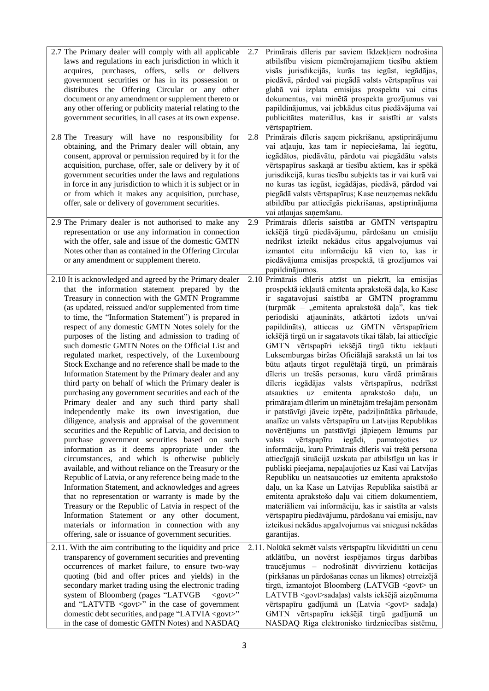| 2.7 The Primary dealer will comply with all applicable<br>laws and regulations in each jurisdiction in which it<br>acquires, purchases, offers, sells or delivers<br>government securities or has in its possession or<br>distributes the Offering Circular or any other<br>document or any amendment or supplement thereto or<br>any other offering or publicity material relating to the<br>government securities, in all cases at its own expense.                                                                                                                                                                                                                                                                                                                                                                                                                                                                                                                                                                                                                                                                                                                                                                                                                                                                                                                                                                                                                                                                                                    | Primārais dīleris par saviem līdzekļiem nodrošina<br>2.7<br>atbilstību visiem piemērojamajiem tiesību aktiem<br>visās jurisdikcijās, kurās tas iegūst, iegādājas,<br>piedāvā, pārdod vai piegādā valsts vērtspapīrus vai<br>glabā vai izplata emisijas prospektu vai citus<br>dokumentus, vai minētā prospekta grozījumus vai<br>papildinājumus, vai jebkādus citus piedāvājuma vai<br>publicitātes materiālus, kas ir saistīti ar valsts<br>vērtspapīriem.                                                                                                                                                                                                                                                                                                                                                                                                                                                                                                                                                                                                                                                                                                                                                                                                                                                                                                                                                                                                                                                            |
|----------------------------------------------------------------------------------------------------------------------------------------------------------------------------------------------------------------------------------------------------------------------------------------------------------------------------------------------------------------------------------------------------------------------------------------------------------------------------------------------------------------------------------------------------------------------------------------------------------------------------------------------------------------------------------------------------------------------------------------------------------------------------------------------------------------------------------------------------------------------------------------------------------------------------------------------------------------------------------------------------------------------------------------------------------------------------------------------------------------------------------------------------------------------------------------------------------------------------------------------------------------------------------------------------------------------------------------------------------------------------------------------------------------------------------------------------------------------------------------------------------------------------------------------------------|------------------------------------------------------------------------------------------------------------------------------------------------------------------------------------------------------------------------------------------------------------------------------------------------------------------------------------------------------------------------------------------------------------------------------------------------------------------------------------------------------------------------------------------------------------------------------------------------------------------------------------------------------------------------------------------------------------------------------------------------------------------------------------------------------------------------------------------------------------------------------------------------------------------------------------------------------------------------------------------------------------------------------------------------------------------------------------------------------------------------------------------------------------------------------------------------------------------------------------------------------------------------------------------------------------------------------------------------------------------------------------------------------------------------------------------------------------------------------------------------------------------------|
| 2.8 The Treasury will have no responsibility for<br>obtaining, and the Primary dealer will obtain, any<br>consent, approval or permission required by it for the<br>acquisition, purchase, offer, sale or delivery by it of<br>government securities under the laws and regulations<br>in force in any jurisdiction to which it is subject or in<br>or from which it makes any acquisition, purchase,<br>offer, sale or delivery of government securities.                                                                                                                                                                                                                                                                                                                                                                                                                                                                                                                                                                                                                                                                                                                                                                                                                                                                                                                                                                                                                                                                                               | Primārais dīleris saņem piekrišanu, apstiprinājumu<br>2.8<br>vai atļauju, kas tam ir nepieciešama, lai iegūtu,<br>iegādātos, piedāvātu, pārdotu vai piegādātu valsts<br>vērtspapīrus saskaņā ar tiesību aktiem, kas ir spēkā<br>jurisdikcijā, kuras tiesību subjekts tas ir vai kurā vai<br>no kuras tas iegūst, iegādājas, piedāvā, pārdod vai<br>piegādā valsts vērtspapīrus; Kase neuzņemas nekādu<br>atbildību par attiecīgās piekrišanas, apstiprinājuma<br>vai atļaujas saņemšanu.                                                                                                                                                                                                                                                                                                                                                                                                                                                                                                                                                                                                                                                                                                                                                                                                                                                                                                                                                                                                                               |
| 2.9 The Primary dealer is not authorised to make any<br>representation or use any information in connection<br>with the offer, sale and issue of the domestic GMTN<br>Notes other than as contained in the Offering Circular<br>or any amendment or supplement thereto.                                                                                                                                                                                                                                                                                                                                                                                                                                                                                                                                                                                                                                                                                                                                                                                                                                                                                                                                                                                                                                                                                                                                                                                                                                                                                  | Primārais dīleris saistībā ar GMTN vērtspapīru<br>2.9<br>iekšējā tirgū piedāvājumu, pārdošanu un emisiju<br>nedrīkst izteikt nekādus citus apgalvojumus vai<br>izmantot citu informāciju kā vien to, kas ir<br>piedāvājuma emisijas prospektā, tā grozījumos vai<br>papildinājumos.                                                                                                                                                                                                                                                                                                                                                                                                                                                                                                                                                                                                                                                                                                                                                                                                                                                                                                                                                                                                                                                                                                                                                                                                                                    |
| 2.10 It is acknowledged and agreed by the Primary dealer<br>that the information statement prepared by the<br>Treasury in connection with the GMTN Programme<br>(as updated, reissued and/or supplemented from time<br>to time, the "Information Statement") is prepared in<br>respect of any domestic GMTN Notes solely for the<br>purposes of the listing and admission to trading of<br>such domestic GMTN Notes on the Official List and<br>regulated market, respectively, of the Luxembourg<br>Stock Exchange and no reference shall be made to the<br>Information Statement by the Primary dealer and any<br>third party on behalf of which the Primary dealer is<br>purchasing any government securities and each of the<br>Primary dealer and any such third party shall<br>independently make its own investigation, due<br>diligence, analysis and appraisal of the government<br>securities and the Republic of Latvia, and decision to<br>purchase government securities based on such<br>information as it deems appropriate under the<br>circumstances, and which is otherwise publicly<br>available, and without reliance on the Treasury or the<br>Republic of Latvia, or any reference being made to the<br>Information Statement, and acknowledges and agrees<br>that no representation or warranty is made by the<br>Treasury or the Republic of Latvia in respect of the<br>Information Statement or any other document,<br>materials or information in connection with any<br>offering, sale or issuance of government securities. | 2.10 Primārais dīleris atzīst un piekrīt, ka emisijas<br>prospektā iekļautā emitenta aprakstošā daļa, ko Kase<br>ir sagatavojusi saistībā ar GMTN programmu<br>(turpmāk - "emitenta aprakstošā daļa", kas tiek<br>periodiski atjaunināts, atkārtoti izdots un/vai<br>papildināts), attiecas uz GMTN vērtspapīriem<br>iekšējā tirgū un ir sagatavots tikai tālab, lai attiecīgie<br>GMTN vērtspapīri iekšējā tirgū tiktu iekļauti<br>Luksemburgas biržas Oficiālajā sarakstā un lai tos<br>būtu atļauts tirgot regulētajā tirgū, un primārais<br>dīleris un trešās personas, kuru vārdā primārais<br>dīleris iegādājas valsts vērtspapīrus,<br>nedrīkst<br>atsaukties uz emitenta aprakstošo daļu,<br>un<br>primārajam dīlerim un minētajām trešajām personām<br>ir patstāvīgi jāveic izpēte, padziļinātāka pārbaude,<br>analīze un valsts vērtspapīru un Latvijas Republikas<br>novērtējums un patstāvīgi jāpieņem lēmums par<br>vērtspapīru<br>iegādi, pamatojoties<br>valsts<br>uz<br>informāciju, kuru Primārais dīleris vai trešā persona<br>attiecīgajā situācijā uzskata par atbilstīgu un kas ir<br>publiski pieejama, nepaļaujoties uz Kasi vai Latvijas<br>Republiku un neatsaucoties uz emitenta aprakstošo<br>daļu, un ka Kase un Latvijas Republika saistībā ar<br>emitenta aprakstošo daļu vai citiem dokumentiem,<br>materiāliem vai informāciju, kas ir saistīta ar valsts<br>vērtspapīru piedāvājumu, pārdošanu vai emisiju, nav<br>izteikusi nekādus apgalvojumus vai sniegusi nekādas<br>garantijas. |
| 2.11. With the aim contributing to the liquidity and price<br>transparency of government securities and preventing<br>occurrences of market failure, to ensure two-way<br>quoting (bid and offer prices and yields) in the<br>secondary market trading using the electronic trading<br>system of Bloomberg (pages "LATVGB<br>$<\text{gov}$ :<br>and "LATVTB <govt>" in the case of government<br/>domestic debt securities, and page "LATVIA <govt>"<br/>in the case of domestic GMTN Notes) and NASDAQ</govt></govt>                                                                                                                                                                                                                                                                                                                                                                                                                                                                                                                                                                                                                                                                                                                                                                                                                                                                                                                                                                                                                                    | 2.11. Nolūkā sekmēt valsts vērtspapīru likviditāti un cenu<br>atklātību, un novērst iespējamos tirgus darbības<br>traucējumus - nodrošināt divvirzienu kotācijas<br>(pirkšanas un pārdošanas cenas un likmes) otrreizējā<br>tirgū, izmantojot Bloomberg (LATVGB <govt> un<br/>LATVTB <govt>sadaļas) valsts iekšējā aizņēmuma<br/>vērtspapīru gadījumā un (Latvia <govt> sadaļa)<br/>GMTN vērtspapīru iekšējā tirgū gadījumā un<br/>NASDAQ Riga elektronisko tirdzniecības sistēmu,</govt></govt></govt>                                                                                                                                                                                                                                                                                                                                                                                                                                                                                                                                                                                                                                                                                                                                                                                                                                                                                                                                                                                                                |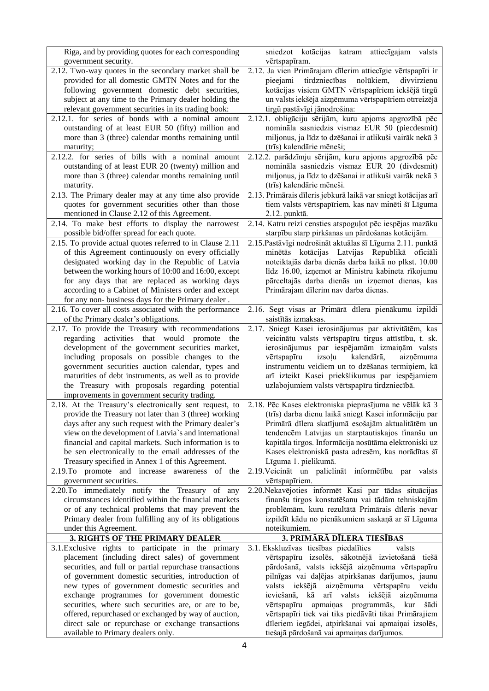| Riga, and by providing quotes for each corresponding                                     | sniedzot kotācijas katram attiecīgajam<br>valsts                                                 |
|------------------------------------------------------------------------------------------|--------------------------------------------------------------------------------------------------|
| government security.                                                                     | vērtspapīram.                                                                                    |
| 2.12. Two-way quotes in the secondary market shall be                                    | 2.12. Ja vien Primārajam dīlerim attiecīgie vērtspapīri ir                                       |
| provided for all domestic GMTN Notes and for the                                         | pieejami<br>tirdzniecības<br>nolūkiem,<br>divvirzienu                                            |
| following government domestic debt securities,                                           | kotācijas visiem GMTN vērtspapīriem iekšējā tirgū                                                |
| subject at any time to the Primary dealer holding the                                    | un valsts iekšējā aizņēmuma vērtspapīriem otrreizējā                                             |
| relevant government securities in its trading book:                                      | tirgū pastāvīgi jānodrošina:                                                                     |
| 2.12.1. for series of bonds with a nominal amount                                        | 2.12.1. obligāciju sērijām, kuru apjoms apgrozībā pēc                                            |
| outstanding of at least EUR 50 (fifty) million and                                       | nomināla sasniedzis vismaz EUR 50 (piecdesmit)                                                   |
| more than 3 (three) calendar months remaining until                                      | miljonus, ja līdz to dzēšanai ir atlikuši vairāk nekā 3                                          |
| maturity;                                                                                | (trīs) kalendārie mēneši;                                                                        |
| 2.12.2. for series of bills with a nominal amount                                        | 2.12.2. parādzīmju sērijām, kuru apjoms apgrozībā pēc                                            |
| outstanding of at least EUR 20 (twenty) million and                                      | nomināla sasniedzis vismaz EUR 20 (divdesmit)                                                    |
| more than 3 (three) calendar months remaining until                                      | miljonus, ja līdz to dzēšanai ir atlikuši vairāk nekā 3                                          |
| maturity.                                                                                | (trīs) kalendārie mēneši.                                                                        |
| 2.13. The Primary dealer may at any time also provide                                    | 2.13. Primārais dīleris jebkurā laikā var sniegt kotācijas arī                                   |
| quotes for government securities other than those                                        | tiem valsts vērtspapīriem, kas nav minēti šī Līguma                                              |
| mentioned in Clause 2.12 of this Agreement.                                              | 2.12. punktā.                                                                                    |
| 2.14. To make best efforts to display the narrowest                                      | 2.14. Katru reizi censties atspoguļot pēc iespējas mazāku                                        |
| possible bid/offer spread for each quote.                                                | starpību starp pirkšanas un pārdošanas kotācijām.                                                |
| 2.15. To provide actual quotes referred to in Clause 2.11                                | 2.15. Pastāvīgi nodrošināt aktuālas šī Līguma 2.11. punktā                                       |
| of this Agreement continuously on every officially                                       | minētās kotācijas Latvijas Republikā oficiāli                                                    |
| designated working day in the Republic of Latvia                                         | noteiktajās darba dienās darba laikā no plkst. 10.00                                             |
| between the working hours of 10:00 and 16:00, except                                     | līdz 16.00, izņemot ar Ministru kabineta rīkojumu                                                |
| for any days that are replaced as working days                                           | pārceltajās darba dienās un izņemot dienas, kas                                                  |
| according to a Cabinet of Ministers order and except                                     | Primārajam dīlerim nav darba dienas.                                                             |
| for any non-business days for the Primary dealer.                                        |                                                                                                  |
| 2.16. To cover all costs associated with the performance                                 | 2.16. Segt visas ar Primārā dīlera pienākumu izpildi                                             |
| of the Primary dealer's obligations.                                                     | saistītās izmaksas.                                                                              |
| 2.17. To provide the Treasury with recommendations                                       | 2.17. Sniegt Kasei ierosinājumus par aktivitātēm, kas                                            |
| regarding activities that would promote<br>the                                           | veicinātu valsts vērtspapīru tirgus attīstību, t. sk.                                            |
| development of the government securities market,                                         | ierosinājumus par iespējamām izmaiņām valsts                                                     |
| including proposals on possible changes to the                                           | izsoļu<br>kalendārā,<br>vērtspapīru<br>aizņēmuma                                                 |
| government securities auction calendar, types and                                        | instrumentu veidiem un to dzēšanas termiņiem, kā                                                 |
| maturities of debt instruments, as well as to provide                                    | arī izteikt Kasei priekšlikumus par iespējamiem                                                  |
| the Treasury with proposals regarding potential                                          | uzlabojumiem valsts vērtspapīru tirdzniecībā.                                                    |
| improvements in government security trading.                                             |                                                                                                  |
| 2.18. At the Treasury's electronically sent request, to                                  | 2.18. Pēc Kases elektroniska pieprasījuma ne vēlāk kā 3                                          |
| provide the Treasury not later than 3 (three) working                                    | (trīs) darba dienu laikā sniegt Kasei informāciju par                                            |
| days after any such request with the Primary dealer's                                    | Primārā dīlera skatījumā esošajām aktualitātēm un                                                |
| view on the development of Latvia's and international                                    | tendencēm Latvijas un starptautiskajos finanšu un                                                |
| financial and capital markets. Such information is to                                    | kapitāla tirgos. Informācija nosūtāma elektroniski uz                                            |
| be sen electronically to the email addresses of the                                      |                                                                                                  |
|                                                                                          |                                                                                                  |
|                                                                                          | Kases elektroniskā pasta adresēm, kas norādītas šī                                               |
| Treasury specified in Annex 1 of this Agreement.                                         | Līguma 1. pielikumā.                                                                             |
| 2.19. To promote and increase awareness of the                                           | 2.19. Veicināt un palielināt informētību par valsts                                              |
| government securities.                                                                   | vērtspapīriem.                                                                                   |
| 2.20. To immediately notify the Treasury of any                                          | 2.20. Nekavējoties informēt Kasi par tādas situācijas                                            |
| circumstances identified within the financial markets                                    | finanšu tirgos konstatēšanu vai tādām tehniskajām                                                |
| or of any technical problems that may prevent the                                        | problēmām, kuru rezultātā Primārais dīleris nevar                                                |
| Primary dealer from fulfilling any of its obligations                                    | izpildīt kādu no pienākumiem saskaņā ar šī Līguma                                                |
| under this Agreement.                                                                    | noteikumiem.                                                                                     |
| 3. RIGHTS OF THE PRIMARY DEALER                                                          | 3. PRIMĀRĀ DĪLERA TIESĪBAS                                                                       |
| 3.1. Exclusive rights to participate in the primary                                      | 3.1. Ekskluzīvas tiesības piedalīties<br>valsts                                                  |
| placement (including direct sales) of government                                         | vērtspapīru izsolēs, sākotnējā izvietošanā tiešā                                                 |
| securities, and full or partial repurchase transactions                                  | pārdošanā, valsts iekšējā aizņēmuma vērtspapīru                                                  |
| of government domestic securities, introduction of                                       | pilnīgas vai daļējas atpirkšanas darījumos, jaunu                                                |
| new types of government domestic securities and                                          | aizņēmuma vērtspapīru veidu<br>valsts iekšējā                                                    |
| exchange programmes for government domestic                                              | ieviešanā, kā<br>arī valsts iekšējā aizņēmuma                                                    |
| securities, where such securities are, or are to be,                                     | vērtspapīru apmaiņas programmās,<br>kur šādi                                                     |
| offered, repurchased or exchanged by way of auction,                                     | vērtspapīri tiek vai tiks piedāvāti tikai Primārajiem                                            |
| direct sale or repurchase or exchange transactions<br>available to Primary dealers only. | dīleriem iegādei, atpirkšanai vai apmaiņai izsolēs,<br>tiešajā pārdošanā vai apmaiņas darījumos. |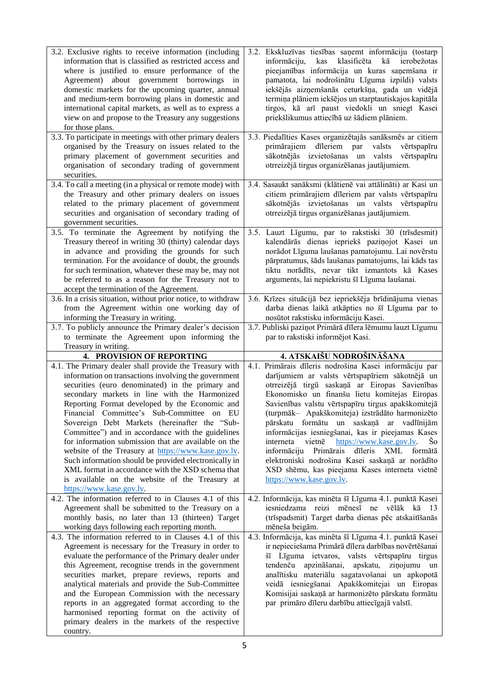| 3.2. Exclusive rights to receive information (including<br>information that is classified as restricted access and<br>where is justified to ensure performance of the<br>Agreement) about government borrowings in<br>domestic markets for the upcoming quarter, annual<br>and medium-term borrowing plans in domestic and<br>international capital markets, as well as to express a<br>view on and propose to the Treasury any suggestions<br>for those plans.                                                                                                                                                                                                                                                                                                   | 3.2. Ekskluzīvas tiesības saņemt informāciju (tostarp<br>kas<br>klasificēta<br>kā<br>informāciju,<br>ierobežotas<br>pieejamības informācija un kuras saņemšana ir<br>pamatota, lai nodrošinātu Līguma izpildi) valsts<br>iekšējās aizņemšanās ceturkšņa, gada un vidējā<br>termiņa plāniem iekšējos un starptautiskajos kapitāla<br>tirgos, kā arī paust viedokli un sniegt Kasei<br>priekšlikumus attiecībā uz šādiem plāniem.                                                                                                                                                                                                                                                                  |
|-------------------------------------------------------------------------------------------------------------------------------------------------------------------------------------------------------------------------------------------------------------------------------------------------------------------------------------------------------------------------------------------------------------------------------------------------------------------------------------------------------------------------------------------------------------------------------------------------------------------------------------------------------------------------------------------------------------------------------------------------------------------|--------------------------------------------------------------------------------------------------------------------------------------------------------------------------------------------------------------------------------------------------------------------------------------------------------------------------------------------------------------------------------------------------------------------------------------------------------------------------------------------------------------------------------------------------------------------------------------------------------------------------------------------------------------------------------------------------|
| 3.3. To participate in meetings with other primary dealers<br>organised by the Treasury on issues related to the<br>primary placement of government securities and<br>organisation of secondary trading of government<br>securities.                                                                                                                                                                                                                                                                                                                                                                                                                                                                                                                              | 3.3. Piedalīties Kases organizētajās sanāksmēs ar citiem<br>primārajiem dīleriem<br>par<br>valsts<br>vērtspapīru<br>sākotnējās izvietošanas<br>un valsts<br>vērtspapīru<br>otrreizējā tirgus organizēšanas jautājumiem.                                                                                                                                                                                                                                                                                                                                                                                                                                                                          |
| $\overline{3.4}$ . To call a meeting (in a physical or remote mode) with<br>the Treasury and other primary dealers on issues<br>related to the primary placement of government<br>securities and organisation of secondary trading of<br>government securities.                                                                                                                                                                                                                                                                                                                                                                                                                                                                                                   | 3.4. Sasaukt sanāksmi (klātienē vai attālināti) ar Kasi un<br>citiem primārajiem dīleriem par valsts vērtspapīru<br>sākotnējās izvietošanas un valsts vērtspapīru<br>otrreizējā tirgus organizēšanas jautājumiem.                                                                                                                                                                                                                                                                                                                                                                                                                                                                                |
| 3.5. To terminate the Agreement by notifying the<br>Treasury thereof in writing 30 (thirty) calendar days<br>in advance and providing the grounds for such<br>termination. For the avoidance of doubt, the grounds<br>for such termination, whatever these may be, may not<br>be referred to as a reason for the Treasury not to<br>accept the termination of the Agreement.<br>3.6. In a crisis situation, without prior notice, to withdraw                                                                                                                                                                                                                                                                                                                     | 3.5. Lauzt Līgumu, par to rakstiski 30 (trīsdesmit)<br>kalendārās dienas iepriekš paziņojot Kasei un<br>norādot Līguma laušanas pamatojumu. Lai novērstu<br>pārpratumus, šāds laušanas pamatojums, lai kāds tas<br>tiktu norādīts, nevar tikt izmantots kā Kases<br>arguments, lai nepiekristu šī Līguma laušanai.<br>3.6. Krīzes situācijā bez iepriekšēja brīdinājuma vienas                                                                                                                                                                                                                                                                                                                   |
| from the Agreement within one working day of<br>informing the Treasury in writing.<br>3.7. To publicly announce the Primary dealer's decision                                                                                                                                                                                                                                                                                                                                                                                                                                                                                                                                                                                                                     | darba dienas laikā atkāpties no šī Līguma par to<br>nosūtot rakstisku informāciju Kasei.<br>3.7. Publiski paziņot Primārā dīlera lēmumu lauzt Līgumu                                                                                                                                                                                                                                                                                                                                                                                                                                                                                                                                             |
| to terminate the Agreement upon informing the                                                                                                                                                                                                                                                                                                                                                                                                                                                                                                                                                                                                                                                                                                                     | par to rakstiski informējot Kasi.                                                                                                                                                                                                                                                                                                                                                                                                                                                                                                                                                                                                                                                                |
| Treasury in writing.                                                                                                                                                                                                                                                                                                                                                                                                                                                                                                                                                                                                                                                                                                                                              |                                                                                                                                                                                                                                                                                                                                                                                                                                                                                                                                                                                                                                                                                                  |
| 4. PROVISION OF REPORTING<br>4.1. The Primary dealer shall provide the Treasury with<br>information on transactions involving the government<br>securities (euro denominated) in the primary and<br>secondary markets in line with the Harmonized<br>Reporting Format developed by the Economic and<br>Financial Committee's Sub-Committee on EU<br>Sovereign Debt Markets (hereinafter the "Sub-<br>Committee") and in accordance with the guidelines<br>for information submission that are available on the<br>website of the Treasury at https://www.kase.gov.lv.<br>Such information should be provided electronically in<br>XML format in accordance with the XSD schema that<br>is available on the website of the Treasury at<br>https://www.kase.gov.lv. | 4. ATSKAIŠU NODROŠINĀŠANA<br>4.1. Primārais dīleris nodrošina Kasei informāciju par<br>darījumiem ar valsts vērtspapīriem sākotnējā un<br>otrreizējā tirgū saskaņā ar Eiropas Savienības<br>Ekonomisko un finanšu lietu komitejas Eiropas<br>Savienības valstu vērtspapīru tirgus apakškomitejā<br>(turpmāk – Apakškomiteja) izstrādāto harmonizēto<br>pārskatu formātu un saskaņā ar vadlīnijām<br>informācijas iesniegšanai, kas ir pieejamas Kases<br>interneta<br>vietnē<br>https://www.kase.gov.lv.<br>Š0<br>informāciju Primārais dīleris XML<br>formātā<br>elektroniski nodrošina Kasei saskaņā ar norādīto<br>XSD shēmu, kas pieejama Kases interneta vietnē<br>https://www.kase.gov.lv. |
| 4.2. The information referred to in Clauses 4.1 of this<br>Agreement shall be submitted to the Treasury on a<br>monthly basis, no later than 13 (thirteen) Target<br>working days following each reporting month.<br>4.3. The information referred to in Clauses 4.1 of this                                                                                                                                                                                                                                                                                                                                                                                                                                                                                      | 4.2. Informācija, kas minēta šī Līguma 4.1. punktā Kasei<br>iesniedzama reizi mēnesī ne vēlāk kā 13<br>(trīspadsmit) Target darba dienas pēc atskaitīšanās<br>mēneša beigām.<br>4.3. Informācija, kas minēta šī Līguma 4.1. punktā Kasei                                                                                                                                                                                                                                                                                                                                                                                                                                                         |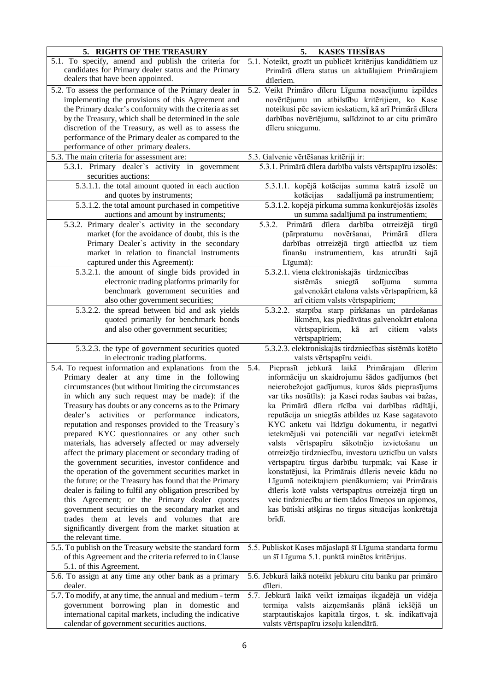| 5. RIGHTS OF THE TREASURY                                 | <b>KASES TIESĪBAS</b><br>5.                                                        |
|-----------------------------------------------------------|------------------------------------------------------------------------------------|
| 5.1. To specify, amend and publish the criteria for       | 5.1. Noteikt, grozīt un publicēt kritērijus kandidātiem uz                         |
| candidates for Primary dealer status and the Primary      | Primārā dīlera status un aktuālajiem Primārajiem                                   |
| dealers that have been appointed.                         | dīleriem.                                                                          |
| 5.2. To assess the performance of the Primary dealer in   | 5.2. Veikt Primāro dīleru Līguma nosacījumu izpildes                               |
| implementing the provisions of this Agreement and         | novērtējumu un atbilstību kritērijiem, ko Kase                                     |
| the Primary dealer's conformity with the criteria as set  | noteikusi pēc saviem ieskatiem, kā arī Primārā dīlera                              |
| by the Treasury, which shall be determined in the sole    | darbības novērtējumu, salīdzinot to ar citu primāro                                |
| discretion of the Treasury, as well as to assess the      | dīleru sniegumu.                                                                   |
| performance of the Primary dealer as compared to the      |                                                                                    |
| performance of other primary dealers.                     |                                                                                    |
| 5.3. The main criteria for assessment are:                | 5.3. Galvenie vērtēšanas kritēriji ir:                                             |
| 5.3.1. Primary dealer's activity in government            | 5.3.1. Primārā dīlera darbība valsts vērtspapīru izsolēs:                          |
| securities auctions:                                      |                                                                                    |
| 5.3.1.1. the total amount quoted in each auction          | 5.3.1.1. kopējā kotācijas summa katrā izsolē un                                    |
| and quotes by instruments;                                | kotācijas<br>sadalījumā pa instrumentiem;                                          |
| 5.3.1.2. the total amount purchased in competitive        | 5.3.1.2. kopējā pirkuma summa konkurējošās izsolēs                                 |
| auctions and amount by instruments;                       | un summa sadalījumā pa instrumentiem;                                              |
| 5.3.2. Primary dealer's activity in the secondary         | 5.3.2.<br>Primārā<br>dīlera<br>darbība<br>otrreizējā<br>tirgū                      |
| market (for the avoidance of doubt, this is the           | novēršanai,<br>dīlera<br>Primārā<br>(pārpratumu                                    |
| Primary Dealer's activity in the secondary                | darbības otrreizējā tirgū attiecībā uz tiem                                        |
| market in relation to financial instruments               | finanšu instrumentiem,<br>kas atrunāti<br>šajā                                     |
| captured under this Agreement):                           | Līgumā):                                                                           |
| 5.3.2.1. the amount of single bids provided in            | 5.3.2.1. viena elektroniskajās tirdzniecības                                       |
| electronic trading platforms primarily for                | sistēmās<br>sniegtā<br>solījuma<br>summa                                           |
| benchmark government securities and                       | galvenokārt etalona valsts vērtspapīriem, kā                                       |
| also other government securities;                         | arī citiem valsts vērtspapīriem;                                                   |
| 5.3.2.2. the spread between bid and ask yields            | 5.3.2.2. starpība starp pirkšanas un pārdošanas                                    |
| quoted primarily for benchmark bonds                      | likmēm, kas piedāvātas galvenokārt etalona                                         |
| and also other government securities;                     | vērtspapīriem,<br>kā<br>$\mathrm{a}\mathrm{r}\bar{\mathrm{i}}$<br>citiem<br>valsts |
|                                                           | vērtspapīriem;                                                                     |
| 5.3.2.3. the type of government securities quoted         | 5.3.2.3. elektroniskajās tirdzniecības sistēmās kotēto                             |
| in electronic trading platforms.                          | valsts vērtspapīru veidi.                                                          |
| 5.4. To request information and explanations from the     | Pieprasīt jebkurā laikā Primārajam dīlerim<br>5.4.                                 |
| Primary dealer at any time in the following               | informāciju un skaidrojumu šādos gadījumos (bet                                    |
| circumstances (but without limiting the circumstances     | neierobežojot gadījumus, kuros šāds pieprasījums                                   |
| in which any such request may be made): if the            | var tiks nosūtīts): ja Kasei rodas šaubas vai bažas,                               |
| Treasury has doubts or any concerns as to the Primary     | ka Primārā dīlera rīcība vai darbības rādītāji,                                    |
| dealer's activities or performance indicators,            | reputācija un sniegtās atbildes uz Kase sagatavoto                                 |
| reputation and responses provided to the Treasury's       | KYC anketu vai līdzīgu dokumentu, ir negatīvi                                      |
| prepared KYC questionnaires or any other such             | ietekmējuši vai potenciāli var negatīvi ietekmēt                                   |
| materials, has adversely affected or may adversely        | valsts vērtspapīru sākotnējo izvietošanu un                                        |
| affect the primary placement or secondary trading of      | otrreizējo tirdzniecību, investoru uzticību un valsts                              |
| the government securities, investor confidence and        | vērtspapīru tirgus darbību turpmāk; vai Kase ir                                    |
| the operation of the government securities market in      | konstatējusi, ka Primārais dīleris neveic kādu no                                  |
| the future; or the Treasury has found that the Primary    | Līgumā noteiktajiem pienākumiem; vai Primārais                                     |
| dealer is failing to fulfil any obligation prescribed by  | dīleris kotē valsts vērtspapīrus otrreizējā tirgū un                               |
| this Agreement; or the Primary dealer quotes              | veic tirdzniecību ar tiem tādos līmeņos un apjomos,                                |
| government securities on the secondary market and         | kas būtiski atšķiras no tirgus situācijas konkrētajā                               |
| trades them at levels and volumes that are                | brīdī.                                                                             |
| significantly divergent from the market situation at      |                                                                                    |
| the relevant time.                                        |                                                                                    |
| 5.5. To publish on the Treasury website the standard form | 5.5. Publiskot Kases mājaslapā šī Līguma standarta formu                           |
| of this Agreement and the criteria referred to in Clause  | un šī Līguma 5.1. punktā minētos kritērijus.                                       |
| 5.1. of this Agreement.                                   |                                                                                    |
| 5.6. To assign at any time any other bank as a primary    | 5.6. Jebkurā laikā noteikt jebkuru citu banku par primāro                          |
| dealer.                                                   | dīleri.                                                                            |
| 5.7. To modify, at any time, the annual and medium - term | 5.7. Jebkurā laikā veikt izmaiņas ikgadējā un vidēja                               |
| government borrowing plan in domestic and                 | termiņa valsts aizņemšanās plānā iekšējā un                                        |
| international capital markets, including the indicative   | starptautiskajos kapitāla tirgos, t. sk. indikatīvajā                              |
| calendar of government securities auctions.               | valsts vērtspapīru izsoļu kalendārā.                                               |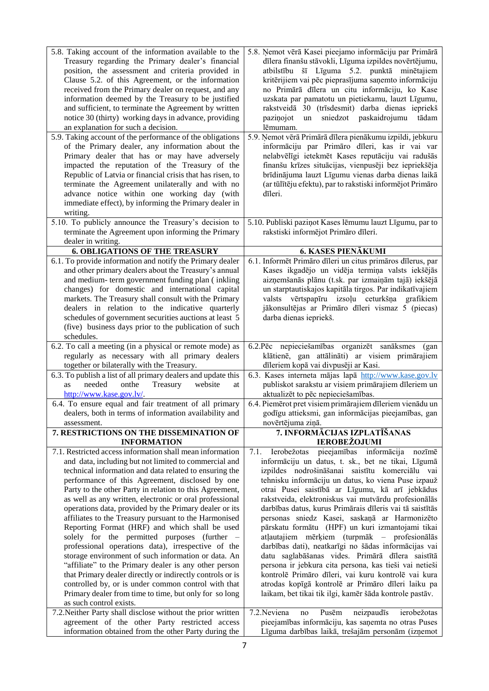| 5.8. Taking account of the information available to the                                                       | 5.8. Nemot vērā Kasei pieejamo informāciju par Primārā                                                          |
|---------------------------------------------------------------------------------------------------------------|-----------------------------------------------------------------------------------------------------------------|
| Treasury regarding the Primary dealer's financial                                                             | dīlera finanšu stāvokli, Līguma izpildes novērtējumu,                                                           |
| position, the assessment and criteria provided in                                                             | atbilstību šī Līguma 5.2. punktā minētajiem                                                                     |
|                                                                                                               |                                                                                                                 |
| Clause 5.2. of this Agreement, or the information                                                             | kritērijiem vai pēc pieprasījuma saņemto informāciju                                                            |
| received from the Primary dealer on request, and any                                                          | no Primārā dīlera un citu informāciju, ko Kase                                                                  |
| information deemed by the Treasury to be justified                                                            | uzskata par pamatotu un pietiekamu, lauzt Līgumu,                                                               |
| and sufficient, to terminate the Agreement by written                                                         | rakstveidā 30 (trīsdesmit) darba dienas iepriekš                                                                |
| notice 30 (thirty) working days in advance, providing                                                         | sniedzot paskaidrojumu tādam<br>pazinojot<br>un                                                                 |
| an explanation for such a decision.                                                                           | lēmumam.                                                                                                        |
| 5.9. Taking account of the performance of the obligations                                                     | 5.9. Ņemot vērā Primārā dīlera pienākumu izpildi, jebkuru                                                       |
| of the Primary dealer, any information about the                                                              | informāciju par Primāro dīleri, kas ir vai var                                                                  |
| Primary dealer that has or may have adversely                                                                 | nelabvēlīgi ietekmēt Kases reputāciju vai radušās                                                               |
| impacted the reputation of the Treasury of the                                                                | finanšu krīzes situācijas, vienpusēji bez iepriekšēja                                                           |
| Republic of Latvia or financial crisis that has risen, to                                                     | brīdinājuma lauzt Līgumu vienas darba dienas laikā                                                              |
| terminate the Agreement unilaterally and with no                                                              | (ar tūlītēju efektu), par to rakstiski informējot Primāro                                                       |
| advance notice within one working day (with                                                                   | dīleri.                                                                                                         |
| immediate effect), by informing the Primary dealer in                                                         |                                                                                                                 |
| writing.                                                                                                      |                                                                                                                 |
| 5.10. To publicly announce the Treasury's decision to                                                         | 5.10. Publiski paziņot Kases lēmumu lauzt Līgumu, par to                                                        |
| terminate the Agreement upon informing the Primary                                                            | rakstiski informējot Primāro dīleri.                                                                            |
| dealer in writing.                                                                                            |                                                                                                                 |
| <b>6. OBLIGATIONS OF THE TREASURY</b>                                                                         | <b>6. KASES PIENĀKUMI</b>                                                                                       |
| 6.1. To provide information and notify the Primary dealer                                                     | 6.1. Informēt Primāro dīleri un citus primāros dīlerus, par                                                     |
| and other primary dealers about the Treasury's annual                                                         | Kases ikgadējo un vidēja termiņa valsts iekšējās                                                                |
| and medium- term government funding plan (inkling                                                             | aizņemšanās plānu (t.sk. par izmaiņām tajā) iekšējā                                                             |
| changes) for domestic and international capital                                                               | un starptautiskajos kapitāla tirgos. Par indikatīvajiem                                                         |
| markets. The Treasury shall consult with the Primary                                                          | valsts vērtspapīru izsoļu ceturkšņa grafikiem                                                                   |
| dealers in relation to the indicative quarterly                                                               | jākonsultējas ar Primāro dīleri vismaz 5 (piecas)                                                               |
| schedules of government securities auctions at least 5                                                        | darba dienas iepriekš.                                                                                          |
| (five) business days prior to the publication of such                                                         |                                                                                                                 |
| schedules.                                                                                                    |                                                                                                                 |
|                                                                                                               |                                                                                                                 |
|                                                                                                               |                                                                                                                 |
| 6.2. To call a meeting (in a physical or remote mode) as                                                      | 6.2. Pēc nepieciešamības organizēt sanāksmes (gan                                                               |
| regularly as necessary with all primary dealers                                                               | klātienē, gan attālināti) ar visiem primārajiem                                                                 |
| together or bilaterally with the Treasury.                                                                    | dīleriem kopā vai divpusēji ar Kasi.                                                                            |
| 6.3. To publish a list of all primary dealers and update this<br>needed<br>as<br>at                           | 6.3. Kases interneta mājas lapā http://www.kase.gov.lv                                                          |
| onthe<br>Treasury<br>website                                                                                  | publiskot sarakstu ar visiem primārajiem dīleriem un                                                            |
| http://www.kase.gov.lv/.                                                                                      | aktualizēt to pēc nepieciešamības.                                                                              |
| 6.4. To ensure equal and fair treatment of all primary                                                        | 6.4. Piemērot pret visiem primārajiem dīleriem vienādu un                                                       |
| dealers, both in terms of information availability and                                                        | godīgu attieksmi, gan informācijas pieejamības, gan                                                             |
| assessment.                                                                                                   | novērtējuma ziņā.                                                                                               |
| 7. RESTRICTIONS ON THE DISSEMINATION OF<br><b>INFORMATION</b>                                                 | 7. INFORMĀCIJAS IZPLATĪŠANAS<br><b>IEROBEŽOJUMI</b>                                                             |
| 7.1. Restricted access information shall mean information                                                     | pieejamības informācija nozīmē<br>7.1.<br>Ierobežotas                                                           |
| and data, including but not limited to commercial and                                                         | informāciju un datus, t. sk., bet ne tikai, Līgumā                                                              |
|                                                                                                               |                                                                                                                 |
| technical information and data related to ensuring the                                                        | izpildes nodrošināšanai saistītu komerciālu vai                                                                 |
| performance of this Agreement, disclosed by one                                                               | tehnisku informāciju un datus, ko viena Puse izpauž                                                             |
| Party to the other Party in relation to this Agreement,                                                       | otrai Pusei saistībā ar Līgumu, kā arī jebkādus                                                                 |
| as well as any written, electronic or oral professional                                                       | rakstveida, elektroniskus vai mutvārdu profesionālās                                                            |
| operations data, provided by the Primary dealer or its                                                        | darbības datus, kurus Primārais dīleris vai tā saistītās                                                        |
| affiliates to the Treasury pursuant to the Harmonised                                                         | personas sniedz Kasei, saskaņā ar Harmonizēto                                                                   |
| Reporting Format (HRF) and which shall be used                                                                | pārskatu formātu (HPF) un kuri izmantojami tikai                                                                |
| solely for the permitted purposes (further -                                                                  | atļautajiem mērķiem (turpmāk - profesionālās                                                                    |
| professional operations data), irrespective of the                                                            | darbības dati), neatkarīgi no šādas informācijas vai                                                            |
| storage environment of such information or data. An                                                           | datu saglabāšanas vides. Primārā dīlera saistītā                                                                |
| "affiliate" to the Primary dealer is any other person                                                         | persona ir jebkura cita persona, kas tieši vai netieši                                                          |
| that Primary dealer directly or indirectly controls or is                                                     | kontrolē Primāro dīleri, vai kuru kontrolē vai kura                                                             |
| controlled by, or is under common control with that                                                           | atrodas kopīgā kontrolē ar Primāro dīleri laiku pa                                                              |
| Primary dealer from time to time, but only for so long                                                        | laikam, bet tikai tik ilgi, kamēr šāda kontrole pastāv.                                                         |
| as such control exists.                                                                                       |                                                                                                                 |
| 7.2. Neither Party shall disclose without the prior written<br>agreement of the other Party restricted access | 7.2. Neviena<br>Pusēm<br>neizpaudīs<br>ierobežotas<br>no<br>pieejamības informāciju, kas saņemta no otras Puses |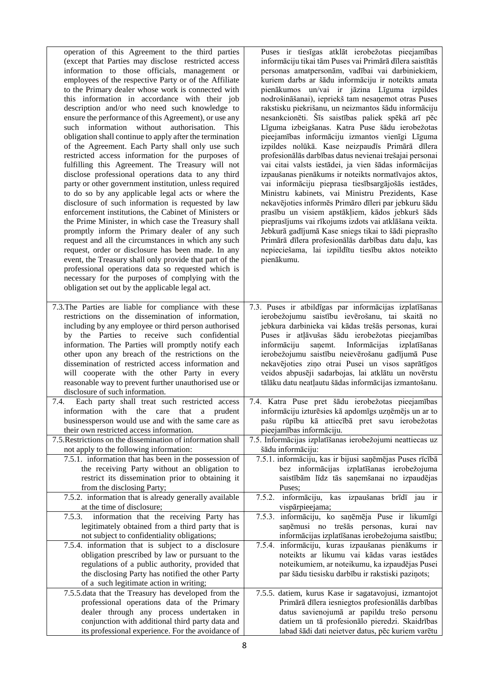operation of this Agreement to the third parties (except that Parties may disclose restricted access information to those officials, management or employees of the respective Party or of the Affiliate to the Primary dealer whose work is connected with this information in accordance with their job description and/or who need such knowledge to ensure the performance of this Agreement), or use any such information without authorisation. This obligation shall continue to apply after the termination of the Agreement. Each Party shall only use such restricted access information for the purposes of fulfilling this Agreement. The Treasury will not disclose professional operations data to any third party or other government institution, unless required to do so by any applicable legal acts or where the disclosure of such information is requested by law enforcement institutions, the Cabinet of Ministers or the Prime Minister, in which case the Treasury shall promptly inform the Primary dealer of any such request and all the circumstances in which any such request, order or disclosure has been made. In any event, the Treasury shall only provide that part of the professional operations data so requested which is necessary for the purposes of complying with the obligation set out by the applicable legal act.

7.3.The Parties are liable for compliance with these restrictions on the dissemination of information, including by any employee or third person authorised by the Parties to receive such confidential information. The Parties will promptly notify each other upon any breach of the restrictions on the dissemination of restricted access information and will cooperate with the other Party in every reasonable way to prevent further unauthorised use or disclosure of such information.

7.4. Each party shall treat such restricted access information with the care that a prudent businessperson would use and with the same care as their own restricted access information.

7.5.Restrictions on the dissemination of information shall not apply to the following information:

7.5.1. information that has been in the possession of the receiving Party without an obligation to restrict its dissemination prior to obtaining it from the disclosing Party;

- 7.5.2. information that is already generally available at the time of disclosure;
- 7.5.3. information that the receiving Party has legitimately obtained from a third party that is not subject to confidentiality obligations; 7.5.4. information that is subject to a disclosure obligation prescribed by law or pursuant to the regulations of a public authority, provided that
- the disclosing Party has notified the other Party of a such legitimate action in writing; 7.5.5.data that the Treasury has developed from the
- professional operations data of the Primary dealer through any process undertaken in conjunction with additional third party data and its professional experience. For the avoidance of

Puses ir tiesīgas atklāt ierobežotas pieejamības informāciju tikai tām Puses vai Primārā dīlera saistītās personas amatpersonām, vadībai vai darbiniekiem, kuriem darbs ar šādu informāciju ir noteikts amata pienākumos un/vai ir jāzina Līguma izpildes nodrošināšanai), iepriekš tam nesaņemot otras Puses rakstisku piekrišanu, un neizmantos šādu informāciju nesankcionēti. Šīs saistības paliek spēkā arī pēc Līguma izbeigšanas. Katra Puse šādu ierobežotas pieejamības informāciju izmantos vienīgi Līguma izpildes nolūkā. Kase neizpaudīs Primārā dīlera profesionālās darbības datus nevienai trešajai personai vai citai valsts iestādei, ja vien šādas informācijas izpaušanas pienākums ir noteikts normatīvajos aktos, vai informāciju pieprasa tiesībsargājošās iestādes, Ministru kabinets, vai Ministru Prezidents, Kase nekavējoties informēs Primāro dīleri par jebkuru šādu prasību un visiem apstākļiem, kādos jebkurš šāds pieprasījums vai rīkojums izdots vai atklāšana veikta. Jebkurā gadījumā Kase sniegs tikai to šādi pieprasīto Primārā dīlera profesionālās darbības datu daļu, kas nepieciešama, lai izpildītu tiesību aktos noteikto pienākumu.

- 7.3. Puses ir atbildīgas par informācijas izplatīšanas ierobežojumu saistību ievērošanu, tai skaitā no jebkura darbinieka vai kādas trešās personas, kurai Puses ir atļāvušas šādu ierobežotas pieejamības informāciju saņemt. Informācijas izplatīšanas ierobežojumu saistību neievērošanu gadījumā Puse nekavējoties ziņo otrai Pusei un visos saprātīgos veidos abpusēji sadarbojas, lai atklātu un novērstu tālāku datu neatļautu šādas informācijas izmantošanu.
- 7.4. Katra Puse pret šādu ierobežotas pieejamības informāciju izturēsies kā apdomīgs uzņēmējs un ar to pašu rūpību kā attiecībā pret savu ierobežotas pieejamības informāciju.
- 7.5. Informācijas izplatīšanas ierobežojumi neattiecas uz šādu informāciju:

7.5.1. informāciju, kas ir bijusi saņēmējas Puses rīcībā bez informācijas izplatīšanas ierobežojuma saistībām līdz tās saņemšanai no izpaudējas Puses;

- 7.5.2. informāciju, kas izpaušanas brīdī jau ir vispārpieejama;
- 7.5.3. informāciju, ko saņēmēja Puse ir likumīgi saņēmusi no trešās personas, kurai nav informācijas izplatīšanas ierobežojuma saistību;

7.5.4. informāciju, kuras izpaušanas pienākums ir noteikts ar likumu vai kādas varas iestādes noteikumiem, ar noteikumu, ka izpaudējas Pusei par šādu tiesisku darbību ir rakstiski paziņots;

7.5.5. datiem, kurus Kase ir sagatavojusi, izmantojot Primārā dīlera iesniegtos profesionālās darbības datus savienojumā ar papildu trešo personu datiem un tā profesionālo pieredzi. Skaidrības labad šādi dati neietver datus, pēc kuriem varētu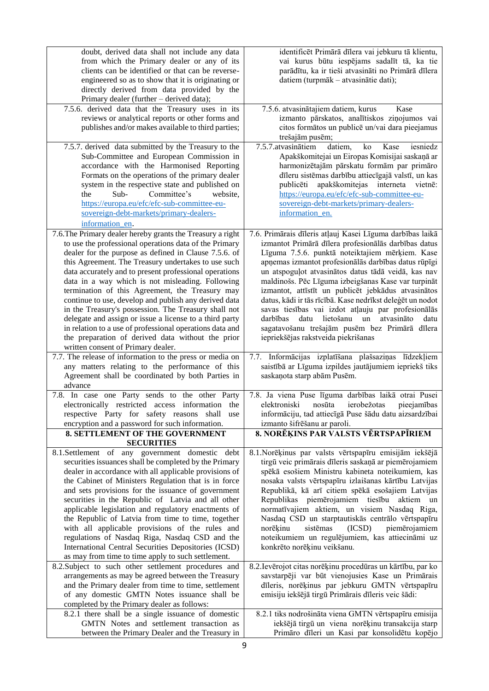| doubt, derived data shall not include any data<br>from which the Primary dealer or any of its<br>clients can be identified or that can be reverse-<br>engineered so as to show that it is originating or<br>directly derived from data provided by the                                                                                                                                                                                                                                                                                                                                                                                                                                                                                                                                                                                        | identificēt Primārā dīlera vai jebkuru tā klientu,<br>vai kurus būtu iespējams sadalīt tā, ka tie<br>parādītu, ka ir tieši atvasināti no Primārā dīlera<br>datiem (turpmāk - atvasinātie dati);                                                                                                                                                                                                                                                                                                                                                                                                                                                                                                                                                  |
|-----------------------------------------------------------------------------------------------------------------------------------------------------------------------------------------------------------------------------------------------------------------------------------------------------------------------------------------------------------------------------------------------------------------------------------------------------------------------------------------------------------------------------------------------------------------------------------------------------------------------------------------------------------------------------------------------------------------------------------------------------------------------------------------------------------------------------------------------|--------------------------------------------------------------------------------------------------------------------------------------------------------------------------------------------------------------------------------------------------------------------------------------------------------------------------------------------------------------------------------------------------------------------------------------------------------------------------------------------------------------------------------------------------------------------------------------------------------------------------------------------------------------------------------------------------------------------------------------------------|
| Primary dealer (further - derived data);<br>7.5.6. derived data that the Treasury uses in its<br>reviews or analytical reports or other forms and<br>publishes and/or makes available to third parties;                                                                                                                                                                                                                                                                                                                                                                                                                                                                                                                                                                                                                                       | 7.5.6. atvasinātajiem datiem, kurus<br>Kase<br>izmanto pārskatos, analītiskos ziņojumos vai<br>citos formātos un publicē un/vai dara pieejamus<br>trešajām pusēm;                                                                                                                                                                                                                                                                                                                                                                                                                                                                                                                                                                                |
| 7.5.7. derived data submitted by the Treasury to the<br>Sub-Committee and European Commission in<br>accordance with the Harmonised Reporting<br>Formats on the operations of the primary dealer<br>system in the respective state and published on<br>the<br>Sub-<br>Committee's<br>website.<br>https://europa.eu/efc/efc-sub-committee-eu-<br>sovereign-debt-markets/primary-dealers-<br>information en.                                                                                                                                                                                                                                                                                                                                                                                                                                     | 7.5.7. atvasinātiem<br>datiem,<br>ko<br>Kase<br>iesniedz<br>Apakškomitejai un Eiropas Komisijai saskaņā ar<br>harmonizētajām pārskatu formām par primāro<br>dīleru sistēmas darbību attiecīgajā valstī, un kas<br>publicēti apakškomitejas interneta vietnē:<br>https://europa.eu/efc/efc-sub-committee-eu-<br>sovereign-debt-markets/primary-dealers-<br>information en.                                                                                                                                                                                                                                                                                                                                                                        |
| 7.6. The Primary dealer hereby grants the Treasury a right<br>to use the professional operations data of the Primary<br>dealer for the purpose as defined in Clause 7.5.6. of<br>this Agreement. The Treasury undertakes to use such<br>data accurately and to present professional operations<br>data in a way which is not misleading. Following<br>termination of this Agreement, the Treasury may<br>continue to use, develop and publish any derived data<br>in the Treasury's possession. The Treasury shall not<br>delegate and assign or issue a license to a third party<br>in relation to a use of professional operations data and<br>the preparation of derived data without the prior<br>written consent of Primary dealer.                                                                                                      | 7.6. Primārais dīleris atļauj Kasei Līguma darbības laikā<br>izmantot Primārā dīlera profesionālās darbības datus<br>Līguma 7.5.6. punktā noteiktajiem mērķiem. Kase<br>apņemas izmantot profesionālās darbības datus rūpīgi<br>un atspoguļot atvasinātos datus tādā veidā, kas nav<br>maldinošs. Pēc Līguma izbeigšanas Kase var turpināt<br>izmantot, attīstīt un publicēt jebkādus atvasinātos<br>datus, kādi ir tās rīcībā. Kase nedrīkst deleģēt un nodot<br>savas tiesības vai izdot atļauju par profesionālās<br>lietošanu un<br>atvasināto<br>darbības<br>datu<br>datu<br>sagatavošanu trešajām pusēm bez Primārā dīlera<br>iepriekšējas rakstveida piekrišanas                                                                          |
| 7.7. The release of information to the press or media on<br>any matters relating to the performance of this<br>Agreement shall be coordinated by both Parties in<br>advance                                                                                                                                                                                                                                                                                                                                                                                                                                                                                                                                                                                                                                                                   | 7.7. Informācijas izplatīšana plašsaziņas līdzekļiem<br>saistībā ar Līguma izpildes jautājumiem iepriekš tiks<br>saskaņota starp abām Pusēm.                                                                                                                                                                                                                                                                                                                                                                                                                                                                                                                                                                                                     |
| 7.8. In case one Party sends to the other Party<br>electronically restricted access information the<br>respective Party for safety reasons shall use<br>encryption and a password for such information.<br>8. SETTLEMENT OF THE GOVERNMENT                                                                                                                                                                                                                                                                                                                                                                                                                                                                                                                                                                                                    | 7.8. Ja viena Puse līguma darbības laikā otrai Pusei<br>elektroniski<br>nosūta<br>ierobežotas<br>pieejamības<br>informāciju, tad attiecīgā Puse šādu datu aizsardzībai<br>izmanto šifrēšanu ar paroli.<br>8. NORĒĶINS PAR VALSTS VĒRTSPAPĪRIEM                                                                                                                                                                                                                                                                                                                                                                                                                                                                                                   |
| <b>SECURITIES</b>                                                                                                                                                                                                                                                                                                                                                                                                                                                                                                                                                                                                                                                                                                                                                                                                                             |                                                                                                                                                                                                                                                                                                                                                                                                                                                                                                                                                                                                                                                                                                                                                  |
| 8.1. Settlement of any government domestic debt<br>securities issuances shall be completed by the Primary<br>dealer in accordance with all applicable provisions of<br>the Cabinet of Ministers Regulation that is in force<br>and sets provisions for the issuance of government<br>securities in the Republic of Latvia and all other<br>applicable legislation and regulatory enactments of<br>the Republic of Latvia from time to time, together<br>with all applicable provisions of the rules and<br>regulations of Nasdaq Riga, Nasdaq CSD and the<br>International Central Securities Depositories (ICSD)<br>as may from time to time apply to such settlement.<br>8.2. Subject to such other settlement procedures and<br>arrangements as may be agreed between the Treasury<br>and the Primary dealer from time to time, settlement | 8.1. Norēķinus par valsts vērtspapīru emisijām iekšējā<br>tirgū veic primārais dīleris saskaņā ar piemērojamiem<br>spēkā esošiem Ministru kabineta noteikumiem, kas<br>nosaka valsts vērtspapīru izlaišanas kārtību Latvijas<br>Republikā, kā arī citiem spēkā esošajiem Latvijas<br>Republikas piemērojamiem tiesību aktiem un<br>normatīvajiem aktiem, un visiem Nasdaq Riga,<br>Nasdaq CSD un starptautiskās centrālo vērtspapīru<br>norēķinu<br>sistēmas<br>(ICSD)<br>piemērojamiem<br>noteikumiem un regulējumiem, kas attiecināmi uz<br>konkrēto norēķinu veikšanu.<br>8.2. Ievērojot citas norēķinu procedūras un kārtību, par ko<br>savstarpēji var būt vienojusies Kase un Primārais<br>dīleris, norēķinus par jebkuru GMTN vērtspapīru |
| of any domestic GMTN Notes issuance shall be<br>completed by the Primary dealer as follows:                                                                                                                                                                                                                                                                                                                                                                                                                                                                                                                                                                                                                                                                                                                                                   | emisiju iekšējā tirgū Primārais dīleris veic šādi:                                                                                                                                                                                                                                                                                                                                                                                                                                                                                                                                                                                                                                                                                               |
| 8.2.1 there shall be a single issuance of domestic<br>GMTN Notes and settlement transaction as<br>between the Primary Dealer and the Treasury in                                                                                                                                                                                                                                                                                                                                                                                                                                                                                                                                                                                                                                                                                              | 8.2.1 tiks nodrošināta viena GMTN vērtspapīru emisija<br>iekšējā tirgū un viena norēķinu transakcija starp<br>Primāro dīleri un Kasi par konsolidētu kopējo                                                                                                                                                                                                                                                                                                                                                                                                                                                                                                                                                                                      |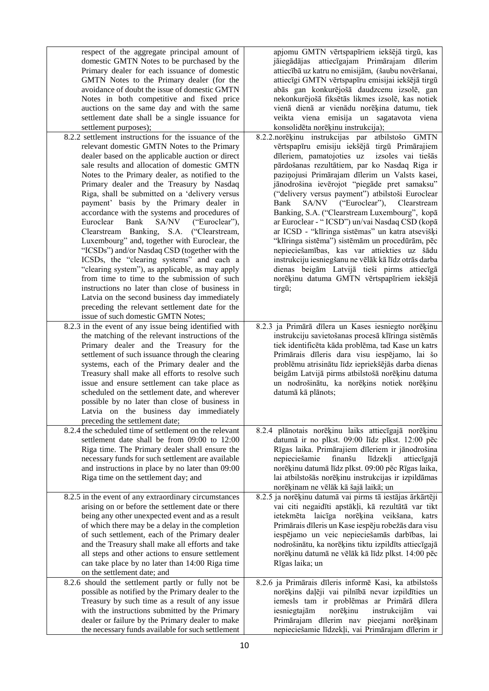| attiecīgi GMTN vērtspapīru emisijai iekšējā tirgū<br>abās gan konkurējošā daudzcenu izsolē, gan<br>nekonkurējošā fiksētās likmes izsolē, kas notiek<br>vienā dienā ar vienādu norēķina datumu, tiek<br>veikta viena emisija un sagatavota viena<br>konsolidēta norēķinu instrukcija);<br>8.2.2.norēķinu instrukcijas par atbilstošo GMTN<br>vērtspapīru emisiju iekšējā tirgū Primārajiem<br>dīleriem, pamatojoties uz<br>izsoles vai tiešās<br>pārdošanas rezultātiem, par ko Nasdaq Riga ir<br>paziņojusi Primārajam dīlerim un Valsts kasei,<br>jānodrošina ievērojot "piegāde pret samaksu"<br>("delivery versus payment") atbilstoši Euroclear<br>SA/NV<br>("Euroclear"),<br>Bank<br>Clearstream<br>Banking, S.A. ("Clearstream Luxembourg", kopā<br>ar Euroclear - "ICSD") un/vai Nasdaq CSD (kopā<br>ar ICSD - "klīringa sistēmas" un katra atsevišķi<br>"klīringa sistēma") sistēmām un procedūrām, pēc<br>nepieciešamības, kas var attiekties uz šādu<br>instrukciju iesniegšanu ne vēlāk kā līdz otrās darba<br>dienas beigām Latvijā tieši pirms attiecīgā<br>norēķinu datuma GMTN vērtspapīriem iekšējā<br>tirgū; |
|-------------------------------------------------------------------------------------------------------------------------------------------------------------------------------------------------------------------------------------------------------------------------------------------------------------------------------------------------------------------------------------------------------------------------------------------------------------------------------------------------------------------------------------------------------------------------------------------------------------------------------------------------------------------------------------------------------------------------------------------------------------------------------------------------------------------------------------------------------------------------------------------------------------------------------------------------------------------------------------------------------------------------------------------------------------------------------------------------------------------------------|
| 8.2.3 ja Primārā dīlera un Kases iesniegto norēķinu<br>instrukciju savietošanas procesā klīringa sistēmās<br>tiek identificēta kāda problēma, tad Kase un katrs<br>Primārais dīleris dara visu iespējamo, lai šo<br>problēmu atrisinātu līdz iepriekšējās darba dienas<br>beigām Latvijā pirms atbilstošā norēķinu datuma<br>un nodrošinātu, ka norēķins notiek norēķinu<br>datumā kā plānots;                                                                                                                                                                                                                                                                                                                                                                                                                                                                                                                                                                                                                                                                                                                                |
| 8.2.4 plānotais norēķinu laiks attiecīgajā norēķinu<br>datumā ir no plkst. 09:00 līdz plkst. 12:00 pēc<br>Rīgas laika. Primārajiem dīleriem ir jānodrošina<br>nepieciešamie<br>finanšu<br>līdzekļi<br>attiecīgajā<br>norēķinu datumā līdz plkst. 09:00 pēc Rīgas laika,<br>lai atbilstošās norēķinu instrukcijas ir izpildāmas<br>norēķinam ne vēlāk kā šajā laikā; un<br>8.2.5 ja norēķinu datumā vai pirms tā iestājas ārkārtēji<br>vai citi negaidīti apstākļi, kā rezultātā var tikt                                                                                                                                                                                                                                                                                                                                                                                                                                                                                                                                                                                                                                      |
| ietekmēta laicīga norēķina veikšana,<br>katrs<br>Primārais dīleris un Kase iespēju robežās dara visu<br>iespējamo un veic nepieciešamās darbības, lai<br>nodrošinātu, ka norēķins tiktu izpildīts attiecīgajā<br>norēķinu datumā ne vēlāk kā līdz plkst. 14:00 pēc<br>Rīgas laika; un<br>8.2.6 ja Primārais dīleris informē Kasi, ka atbilstošs<br>norēķins daļēji vai pilnībā nevar izpildīties un<br>iemesls tam ir problēmas ar Primārā dīlera<br>iesniegtajām<br>norēķinu<br>instrukcijām<br>vai<br>Primārajam dīlerim nav pieejami norēķinam                                                                                                                                                                                                                                                                                                                                                                                                                                                                                                                                                                             |
|                                                                                                                                                                                                                                                                                                                                                                                                                                                                                                                                                                                                                                                                                                                                                                                                                                                                                                                                                                                                                                                                                                                               |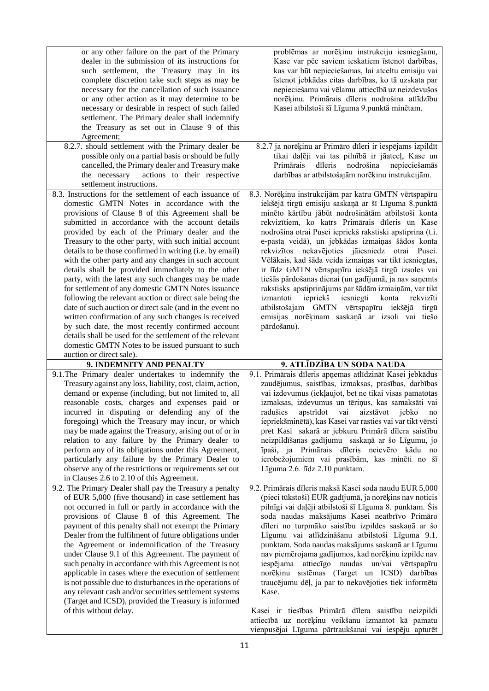| or any other failure on the part of the Primary<br>dealer in the submission of its instructions for<br>such settlement, the Treasury may in its<br>complete discretion take such steps as may be<br>necessary for the cancellation of such issuance<br>or any other action as it may determine to be<br>necessary or desirable in respect of such failed<br>settlement. The Primary dealer shall indemnify<br>the Treasury as set out in Clause 9 of this<br>Agreement;                                                                                                                                                                                                                                                                                                                                                                                                                                                                                                                             | problēmas ar norēķinu instrukciju iesniegšanu,<br>Kase var pēc saviem ieskatiem īstenot darbības,<br>kas var būt nepieciešamas, lai atceltu emisiju vai<br>īstenot jebkādas citas darbības, ko tā uzskata par<br>nepieciešamu vai vēlamu attiecībā uz neizdevušos<br>norēķinu. Primārais dīleris nodrošina atlīdzību<br>Kasei atbilstoši šī Līguma 9.punktā minētam.                                                                                                                                                                                                                                                                                                                                                                                                                                     |
|-----------------------------------------------------------------------------------------------------------------------------------------------------------------------------------------------------------------------------------------------------------------------------------------------------------------------------------------------------------------------------------------------------------------------------------------------------------------------------------------------------------------------------------------------------------------------------------------------------------------------------------------------------------------------------------------------------------------------------------------------------------------------------------------------------------------------------------------------------------------------------------------------------------------------------------------------------------------------------------------------------|----------------------------------------------------------------------------------------------------------------------------------------------------------------------------------------------------------------------------------------------------------------------------------------------------------------------------------------------------------------------------------------------------------------------------------------------------------------------------------------------------------------------------------------------------------------------------------------------------------------------------------------------------------------------------------------------------------------------------------------------------------------------------------------------------------|
| 8.2.7. should settlement with the Primary dealer be<br>possible only on a partial basis or should be fully<br>cancelled, the Primary dealer and Treasury make<br>actions to their respective<br>the necessary<br>settlement instructions.                                                                                                                                                                                                                                                                                                                                                                                                                                                                                                                                                                                                                                                                                                                                                           | 8.2.7 ja norēķinu ar Primāro dīleri ir iespējams izpildīt<br>tikai daļēji vai tas pilnībā ir jāatceļ, Kase un<br>dīleris<br>nodrošina<br>Primārais<br>nepieciešamās<br>darbības ar atbilstošajām norēķinu instrukcijām.                                                                                                                                                                                                                                                                                                                                                                                                                                                                                                                                                                                  |
| 8.3. Instructions for the settlement of each issuance of<br>domestic GMTN Notes in accordance with the<br>provisions of Clause 8 of this Agreement shall be<br>submitted in accordance with the account details<br>provided by each of the Primary dealer and the<br>Treasury to the other party, with such initial account<br>details to be those confirmed in writing (i.e. by email)<br>with the other party and any changes in such account<br>details shall be provided immediately to the other<br>party, with the latest any such changes may be made<br>for settlement of any domestic GMTN Notes issuance<br>following the relevant auction or direct sale being the<br>date of such auction or direct sale (and in the event no<br>written confirmation of any such changes is received<br>by such date, the most recently confirmed account<br>details shall be used for the settlement of the relevant<br>domestic GMTN Notes to be issued pursuant to such<br>auction or direct sale). | 8.3. Norēķinu instrukcijām par katru GMTN vērtspapīru<br>iekšējā tirgū emisiju saskaņā ar šī Līguma 8.punktā<br>minēto kārtību jābūt nodrošinātām atbilstoši konta<br>rekvizītiem, ko katrs Primārais dīleris un Kase<br>nodrošina otrai Pusei iepriekš rakstiski apstiprina (t.i.<br>e-pasta veidā), un jebkādas izmaiņas šādos konta<br>rekvizītos nekavējoties jāiesniedz otrai Pusei.<br>Vēlākais, kad šāda veida izmaiņas var tikt iesniegtas,<br>ir līdz GMTN vērtspapīru iekšējā tirgū izsoles vai<br>tiešās pārdošanas dienai (un gadījumā, ja nav saņemts<br>rakstisks apstiprinājums par šādām izmaiņām, var tikt<br>iepriekš<br>iesniegti<br>konta<br>izmantoti<br>rekvizīti<br>atbilstošajam GMTN vērtspapīru iekšējā tirgū<br>emisijas norēķinam saskaņā ar izsoli vai tiešo<br>pārdošanu). |
| 9. INDEMNITY AND PENALTY                                                                                                                                                                                                                                                                                                                                                                                                                                                                                                                                                                                                                                                                                                                                                                                                                                                                                                                                                                            | 9. ATLĪDZĪBA UN SODA NAUDA                                                                                                                                                                                                                                                                                                                                                                                                                                                                                                                                                                                                                                                                                                                                                                               |
| 9.1. The Primary dealer undertakes to indemnify the<br>Treasury against any loss, liability, cost, claim, action,<br>demand or expense (including, but not limited to, all<br>reasonable costs, charges and expenses paid or<br>incurred in disputing or defending any of the<br>foregoing) which the Treasury may incur, or which<br>may be made against the Treasury, arising out of or in<br>relation to any failure by the Primary dealer to<br>perform any of its obligations under this Agreement,<br>particularly any failure by the Primary Dealer to<br>observe any of the restrictions or requirements set out<br>in Clauses 2.6 to 2.10 of this Agreement.                                                                                                                                                                                                                                                                                                                               | 9.1. Primārais dīleris apņemas atlīdzināt Kasei jebkādus<br>zaudējumus, saistības, izmaksas, prasības, darbības<br>vai izdevumus (iekļaujot, bet ne tikai visas pamatotas<br>izmaksas, izdevumus un tēriņus, kas samaksāti vai<br>radušies apstrīdot vai aizstāvot jebko no<br>iepriekšminētā), kas Kasei var rasties vai var tikt vērsti<br>pret Kasi sakarā ar jebkuru Primārā dīlera saistību<br>neizpildīšanas gadījumu saskaņā ar šo Līgumu, jo<br>īpaši, ja Primārais dīleris neievēro kādu no<br>ierobežojumiem vai prasībām, kas minēti no šī<br>Līguma 2.6. līdz 2.10 punktam.                                                                                                                                                                                                                  |
| 9.2. The Primary Dealer shall pay the Treasury a penalty<br>of EUR 5,000 (five thousand) in case settlement has<br>not occurred in full or partly in accordance with the<br>provisions of Clause 8 of this Agreement. The<br>payment of this penalty shall not exempt the Primary<br>Dealer from the fulfilment of future obligations under<br>the Agreement or indemnification of the Treasury<br>under Clause 9.1 of this Agreement. The payment of<br>such penalty in accordance with this Agreement is not<br>applicable in cases where the execution of settlement<br>is not possible due to disturbances in the operations of<br>any relevant cash and/or securities settlement systems<br>(Target and ICSD), provided the Treasury is informed<br>of this without delay.                                                                                                                                                                                                                     | 9.2. Primārais dīleris maksā Kasei soda naudu EUR 5,000<br>(pieci tūkstoši) EUR gadījumā, ja norēķins nav noticis<br>pilnīgi vai daļēji atbilstoši šī Līguma 8. punktam. Šis<br>soda naudas maksājums Kasei neatbrīvo Primāro<br>dīleri no turpmāko saistību izpildes saskaņā ar šo<br>Līgumu vai atlīdzināšanu atbilstoši Līguma 9.1.<br>punktam. Soda naudas maksājums saskaņā ar Līgumu<br>nav piemērojama gadījumos, kad norēķinu izpilde nav<br>iespējama attiecīgo naudas un/vai vērtspapīru<br>norēķinu sistēmas (Target un ICSD) darbības<br>traucējumu dēļ, ja par to nekavējoties tiek informēta<br>Kase.<br>Kasei ir tiesības Primārā dīlera saistību neizpildi<br>attiecībā uz norēķinu veikšanu izmantot kā pamatu<br>vienpusējai Līguma pārtraukšanai vai iespēju apturēt                  |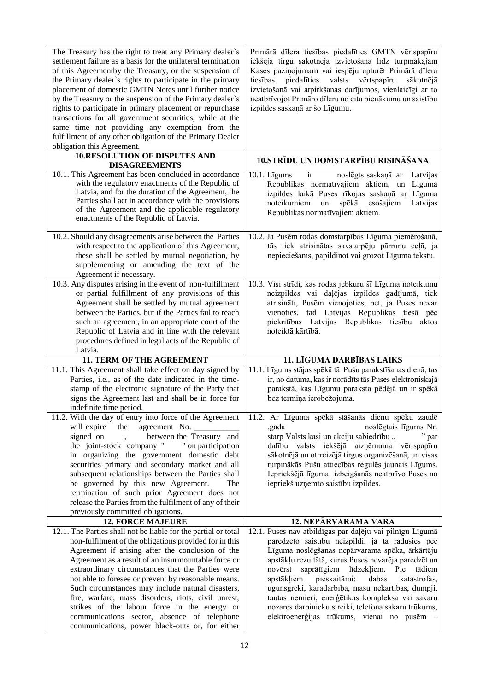| The Treasury has the right to treat any Primary dealer's<br>settlement failure as a basis for the unilateral termination<br>of this Agreementby the Treasury, or the suspension of<br>the Primary dealer's rights to participate in the primary<br>placement of domestic GMTN Notes until further notice<br>by the Treasury or the suspension of the Primary dealer's<br>rights to participate in primary placement or repurchase<br>transactions for all government securities, while at the<br>same time not providing any exemption from the<br>fulfillment of any other obligation of the Primary Dealer<br>obligation this Agreement. | Primārā dīlera tiesības piedalīties GMTN vērtspapīru<br>iekšējā tirgū sākotnējā izvietošanā līdz turpmākajam<br>Kases paziņojumam vai iespēju apturēt Primārā dīlera<br>tiesības piedalīties<br>valsts vērtspapīru<br>sākotnējā<br>izvietošanā vai atpirkšanas darījumos, vienlaicīgi ar to<br>neatbrīvojot Primāro dīleru no citu pienākumu un saistību<br>izpildes saskaņā ar šo Līgumu.                                                  |
|--------------------------------------------------------------------------------------------------------------------------------------------------------------------------------------------------------------------------------------------------------------------------------------------------------------------------------------------------------------------------------------------------------------------------------------------------------------------------------------------------------------------------------------------------------------------------------------------------------------------------------------------|---------------------------------------------------------------------------------------------------------------------------------------------------------------------------------------------------------------------------------------------------------------------------------------------------------------------------------------------------------------------------------------------------------------------------------------------|
| <b>10.RESOLUTION OF DISPUTES AND</b><br><b>DISAGREEMENTS</b>                                                                                                                                                                                                                                                                                                                                                                                                                                                                                                                                                                               | 10.STRĪDU UN DOMSTARPĪBU RISINĀŠANA                                                                                                                                                                                                                                                                                                                                                                                                         |
| 10.1. This Agreement has been concluded in accordance<br>with the regulatory enactments of the Republic of<br>Latvia, and for the duration of the Agreement, the<br>Parties shall act in accordance with the provisions<br>of the Agreement and the applicable regulatory<br>enactments of the Republic of Latvia.                                                                                                                                                                                                                                                                                                                         | noslēgts saskaņā ar<br>10.1. Līgums<br>ir<br>Latvijas<br>Republikas normatīvajiem aktiem, un<br>Līguma<br>izpildes laikā Puses rīkojas saskaņā ar Līguma<br>noteikumiem<br>esošajiem<br>Latvijas<br>$\,$ un $\,$<br>spēkā<br>Republikas normatīvajiem aktiem.                                                                                                                                                                               |
| 10.2. Should any disagreements arise between the Parties<br>with respect to the application of this Agreement,<br>these shall be settled by mutual negotiation, by<br>supplementing or amending the text of the<br>Agreement if necessary.                                                                                                                                                                                                                                                                                                                                                                                                 | 10.2. Ja Pusēm rodas domstarpības Līguma piemērošanā,<br>tās tiek atrisinātas savstarpēju pārrunu ceļā, ja<br>nepieciešams, papildinot vai grozot Līguma tekstu.                                                                                                                                                                                                                                                                            |
| 10.3. Any disputes arising in the event of non-fulfillment<br>or partial fulfillment of any provisions of this<br>Agreement shall be settled by mutual agreement<br>between the Parties, but if the Parties fail to reach<br>such an agreement, in an appropriate court of the<br>Republic of Latvia and in line with the relevant<br>procedures defined in legal acts of the Republic of<br>Latvia.                                                                                                                                                                                                                                       | 10.3. Visi strīdi, kas rodas jebkuru šī Līguma noteikumu<br>neizpildes vai daļējas izpildes gadījumā, tiek<br>atrisināti, Pusēm vienojoties, bet, ja Puses nevar<br>vienoties, tad Latvijas Republikas tiesā pēc<br>piekritības Latvijas Republikas tiesību<br>aktos<br>noteiktā kārtībā.                                                                                                                                                   |
| 11. TERM OF THE AGREEMENT                                                                                                                                                                                                                                                                                                                                                                                                                                                                                                                                                                                                                  | 11. LĪGUMA DARBĪBAS LAIKS                                                                                                                                                                                                                                                                                                                                                                                                                   |
| 11.1. This Agreement shall take effect on day signed by<br>Parties, i.e., as of the date indicated in the time-<br>stamp of the electronic signature of the Party that<br>signs the Agreement last and shall be in force for<br>indefinite time period.                                                                                                                                                                                                                                                                                                                                                                                    | 11.1. Līgums stājas spēkā tā Pušu parakstīšanas dienā, tas<br>ir, no datuma, kas ir norādīts tās Puses elektroniskajā<br>parakstā, kas Līgumu paraksta pēdējā un ir spēkā<br>bez termiņa ierobežojuma.                                                                                                                                                                                                                                      |
| 11.2. With the day of entry into force of the Agreement<br>will expire<br>the<br>agreement No.<br>between the Treasury and<br>signed on<br>$\ddot{\phantom{a}}$<br>the joint-stock company " " on participation<br>in organizing the government domestic debt<br>securities primary and secondary market and all<br>subsequent relationships between the Parties shall<br>be governed by this new Agreement.<br>The<br>termination of such prior Agreement does not                                                                                                                                                                        | 11.2. Ar Līguma spēkā stāšanās dienu spēku zaudē<br>noslēgtais līgums Nr.<br>.gada<br>starp Valsts kasi un akciju sabiedrību "<br>" par<br>dalību valsts iekšējā aizņēmuma vērtspapīru<br>sākotnējā un otrreizējā tirgus organizēšanā, un visas<br>turpmākās Pušu attiecības regulēs jaunais Līgums.<br>Iepriekšējā līguma izbeigšanās neatbrīvo Puses no<br>iepriekš uzņemto saistību izpildes.                                            |
| release the Parties from the fulfilment of any of their<br>previously committed obligations.                                                                                                                                                                                                                                                                                                                                                                                                                                                                                                                                               |                                                                                                                                                                                                                                                                                                                                                                                                                                             |
| <b>12. FORCE MAJEURE</b>                                                                                                                                                                                                                                                                                                                                                                                                                                                                                                                                                                                                                   | 12. NEPĀRVARAMA VARA                                                                                                                                                                                                                                                                                                                                                                                                                        |
| 12.1. The Parties shall not be liable for the partial or total<br>non-fulfilment of the obligations provided for in this<br>Agreement if arising after the conclusion of the<br>Agreement as a result of an insurmountable force or<br>extraordinary circumstances that the Parties were<br>not able to foresee or prevent by reasonable means.<br>Such circumstances may include natural disasters,<br>fire, warfare, mass disorders, riots, civil unrest,                                                                                                                                                                                | 12.1. Puses nav atbildīgas par daļēju vai pilnīgu Līgumā<br>paredzēto saistību neizpildi, ja tā radusies pēc<br>Līguma noslēgšanas nepārvarama spēka, ārkārtēju<br>apstākļu rezultātā, kurus Puses nevarēja paredzēt un<br>novērst saprātīgiem līdzekļiem.<br>Pie<br>tādiem<br>pieskaitāmi:<br>apstākļiem<br>dabas<br>katastrofas,<br>ugunsgrēki, karadarbība, masu nekārtības, dumpji,<br>tautas nemieri, enerģētikas kompleksa vai sakaru |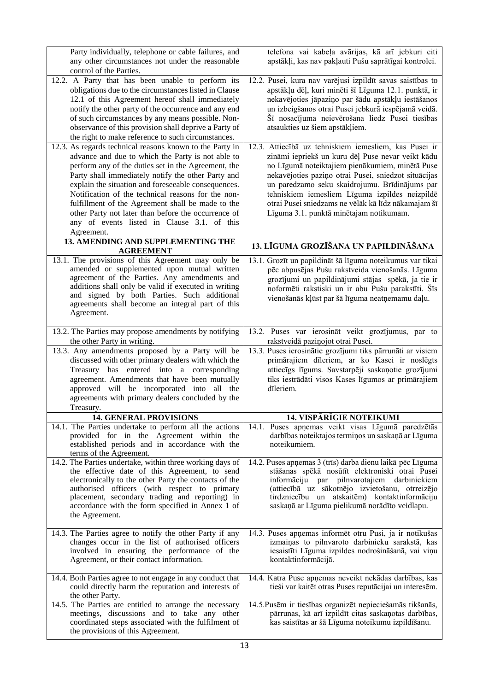| Party individually, telephone or cable failures, and<br>any other circumstances not under the reasonable<br>control of the Parties.                                                                                                                                                                                                                                                                                                                                                                              | telefona vai kabeļa avārijas, kā arī jebkuri citi<br>apstākļi, kas nav pakļauti Pušu saprātīgai kontrolei.                                                                                                                                                                                                                                                                                                                  |
|------------------------------------------------------------------------------------------------------------------------------------------------------------------------------------------------------------------------------------------------------------------------------------------------------------------------------------------------------------------------------------------------------------------------------------------------------------------------------------------------------------------|-----------------------------------------------------------------------------------------------------------------------------------------------------------------------------------------------------------------------------------------------------------------------------------------------------------------------------------------------------------------------------------------------------------------------------|
| 12.2. A Party that has been unable to perform its<br>obligations due to the circumstances listed in Clause<br>12.1 of this Agreement hereof shall immediately<br>notify the other party of the occurrence and any end<br>of such circumstances by any means possible. Non-<br>observance of this provision shall deprive a Party of<br>the right to make reference to such circumstances.                                                                                                                        | 12.2. Pusei, kura nav varējusi izpildīt savas saistības to<br>apstākļu dēļ, kuri minēti šī Līguma 12.1. punktā, ir<br>nekavējoties jāpaziņo par šādu apstākļu iestāšanos<br>un izbeigšanos otrai Pusei jebkurā iespējamā veidā.<br>Šī nosacījuma neievērošana liedz Pusei tiesības<br>atsaukties uz šiem apstākļiem.                                                                                                        |
| 12.3. As regards technical reasons known to the Party in<br>advance and due to which the Party is not able to<br>perform any of the duties set in the Agreement, the<br>Party shall immediately notify the other Party and<br>explain the situation and foreseeable consequences.<br>Notification of the technical reasons for the non-<br>fulfillment of the Agreement shall be made to the<br>other Party not later than before the occurrence of<br>any of events listed in Clause 3.1. of this<br>Agreement. | 12.3. Attiecībā uz tehniskiem iemesliem, kas Pusei ir<br>zināmi iepriekš un kuru dēļ Puse nevar veikt kādu<br>no Līgumā noteiktajiem pienākumiem, minētā Puse<br>nekavējoties paziņo otrai Pusei, sniedzot situācijas<br>un paredzamo seku skaidrojumu. Brīdinājums par<br>tehniskiem iemesliem Līguma izpildes neizpildē<br>otrai Pusei sniedzams ne vēlāk kā līdz nākamajam šī<br>Līguma 3.1. punktā minētajam notikumam. |
| 13. AMENDING AND SUPPLEMENTING THE<br><b>AGREEMENT</b>                                                                                                                                                                                                                                                                                                                                                                                                                                                           | 13. LĪGUMA GROZĪŠANA UN PAPILDINĀŠANA                                                                                                                                                                                                                                                                                                                                                                                       |
| 13.1. The provisions of this Agreement may only be<br>amended or supplemented upon mutual written<br>agreement of the Parties. Any amendments and<br>additions shall only be valid if executed in writing<br>and signed by both Parties. Such additional<br>agreements shall become an integral part of this<br>Agreement.                                                                                                                                                                                       | 13.1. Grozīt un papildināt šā līguma noteikumus var tikai<br>pēc abpusējas Pušu rakstveida vienošanās. Līguma<br>grozījumi un papildinājumi stājas spēkā, ja tie ir<br>noformēti rakstiski un ir abu Pušu parakstīti. Šīs<br>vienošanās kļūst par šā līguma neatņemamu daļu.                                                                                                                                                |
| 13.2. The Parties may propose amendments by notifying<br>the other Party in writing.                                                                                                                                                                                                                                                                                                                                                                                                                             | 13.2. Puses var ierosināt veikt grozījumus, par to<br>rakstveidā paziņojot otrai Pusei.                                                                                                                                                                                                                                                                                                                                     |
| 13.3. Any amendments proposed by a Party will be<br>discussed with other primary dealers with which the<br>Treasury has entered into a corresponding<br>agreement. Amendments that have been mutually<br>approved will be incorporated into all the<br>agreements with primary dealers concluded by the<br>Treasury.                                                                                                                                                                                             | 13.3. Puses ierosinātie grozījumi tiks pārrunāti ar visiem<br>primārajiem dīleriem, ar ko Kasei ir noslēgts<br>attiecīgs līgums. Savstarpēji saskaņotie grozījumi<br>tiks iestrādāti visos Kases līgumos ar primārajiem<br>dīleriem.                                                                                                                                                                                        |
| <b>14. GENERAL PROVISIONS</b>                                                                                                                                                                                                                                                                                                                                                                                                                                                                                    | <b>14. VISPĀRĪGIE NOTEIKUMI</b>                                                                                                                                                                                                                                                                                                                                                                                             |
| 14.1. The Parties undertake to perform all the actions<br>provided for in the Agreement within the<br>established periods and in accordance with the<br>terms of the Agreement.                                                                                                                                                                                                                                                                                                                                  | 14.1. Puses apņemas veikt visas Līgumā paredzētās<br>darbības noteiktajos termiņos un saskaņā ar Līguma<br>noteikumiem.                                                                                                                                                                                                                                                                                                     |
| 14.2. The Parties undertake, within three working days of<br>the effective date of this Agreement, to send<br>electronically to the other Party the contacts of the<br>authorised officers (with respect to primary<br>placement, secondary trading and reporting) in<br>accordance with the form specified in Annex 1 of<br>the Agreement.                                                                                                                                                                      | 14.2. Puses apņemas 3 (trīs) darba dienu laikā pēc Līguma<br>stāšanas spēkā nosūtīt elektroniski otrai Pusei<br>informāciju par pilnvarotajiem darbiniekiem<br>(attiecībā uz sākotnējo izvietošanu, otrreizējo<br>tirdzniecību un atskaitēm) kontaktinformāciju<br>saskaņā ar Līguma pielikumā norādīto veidlapu.                                                                                                           |
| 14.3. The Parties agree to notify the other Party if any<br>changes occur in the list of authorised officers<br>involved in ensuring the performance of the<br>Agreement, or their contact information.                                                                                                                                                                                                                                                                                                          | 14.3. Puses apņemas informēt otru Pusi, ja ir notikušas<br>izmaiņas to pilnvaroto darbinieku sarakstā, kas<br>iesaistīti Līguma izpildes nodrošināšanā, vai viņu<br>kontaktinformācijā.                                                                                                                                                                                                                                     |
| 14.4. Both Parties agree to not engage in any conduct that<br>could directly harm the reputation and interests of<br>the other Party.                                                                                                                                                                                                                                                                                                                                                                            | 14.4. Katra Puse apņemas neveikt nekādas darbības, kas<br>tieši var kaitēt otras Puses reputācijai un interesēm.                                                                                                                                                                                                                                                                                                            |
| 14.5. The Parties are entitled to arrange the necessary<br>meetings, discussions and to take any other                                                                                                                                                                                                                                                                                                                                                                                                           |                                                                                                                                                                                                                                                                                                                                                                                                                             |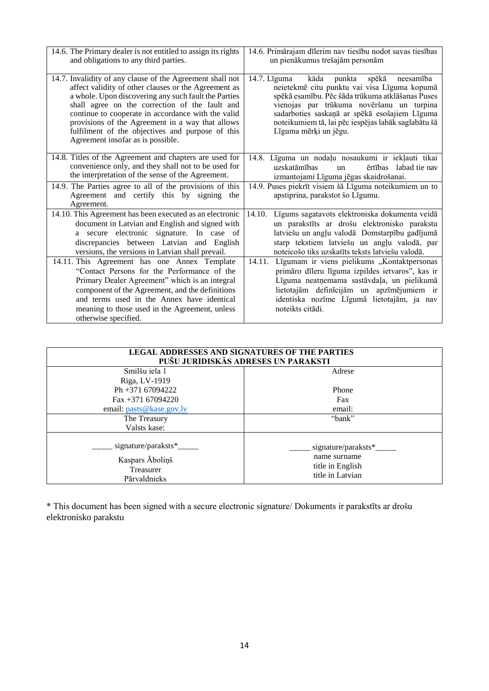| 14.6. The Primary dealer is not entitled to assign its rights<br>and obligations to any third parties.                                                                                                                                                                                                                                                                                                                         | 14.6. Primārajam dīlerim nav tiesību nodot savas tiesības<br>un pienākumus trešajām personām                                                                                                                                                                                                                                                          |
|--------------------------------------------------------------------------------------------------------------------------------------------------------------------------------------------------------------------------------------------------------------------------------------------------------------------------------------------------------------------------------------------------------------------------------|-------------------------------------------------------------------------------------------------------------------------------------------------------------------------------------------------------------------------------------------------------------------------------------------------------------------------------------------------------|
| 14.7. Invalidity of any clause of the Agreement shall not<br>affect validity of other clauses or the Agreement as<br>a whole. Upon discovering any such fault the Parties<br>shall agree on the correction of the fault and<br>continue to cooperate in accordance with the valid<br>provisions of the Agreement in a way that allows<br>fulfilment of the objectives and purpose of this<br>Agreement insofar as is possible. | kāda<br>punkta<br>spēkā<br>$14.7.$ L <sub>1</sub> guma<br>neesamība<br>neietekmē citu punktu vai visa Līguma kopumā<br>spēkā esamību. Pēc šāda trūkuma atklāšanas Puses<br>vienojas par trūkuma novēršanu un turpina<br>sadarboties saskaņā ar spēkā esošajiem Līguma<br>noteikumiem tā, lai pēc iespējas labāk saglabātu šā<br>Līguma mērķi un jēgu. |
| 14.8. Titles of the Agreement and chapters are used for<br>convenience only, and they shall not to be used for<br>the interpretation of the sense of the Agreement.                                                                                                                                                                                                                                                            | 14.8. Līguma un nodaļu nosaukumi ir iekļauti tikai<br>uzskatāmības<br>ērtības labad tie nav<br>$\mathbf{u}$<br>izmantojami Līguma jēgas skaidrošanai.                                                                                                                                                                                                 |
| 14.9. The Parties agree to all of the provisions of this<br>Agreement and certify this by signing the<br>Agreement.                                                                                                                                                                                                                                                                                                            | 14.9. Puses piekrīt visiem šā Līguma noteikumiem un to<br>apstiprina, parakstot šo Līgumu.                                                                                                                                                                                                                                                            |
| 14.10. This Agreement has been executed as an electronic<br>document in Latvian and English and signed with<br>a secure electronic signature. In case of<br>discrepancies between Latvian and English<br>versions, the versions in Latvian shall prevail.                                                                                                                                                                      | Līgums sagatavots elektroniska dokumenta veidā<br>14.10.<br>un parakstīts ar drošu elektronisko parakstu<br>latviešu un angļu valodā Domstarpību gadījumā<br>starp tekstiem latviešu un angļu valodā, par<br>noteicošo tiks uzskatīts teksts latviešu valodā.                                                                                         |
| 14.11. This Agreement has one Annex Template<br>"Contact Persons for the Performance of the<br>Primary Dealer Agreement" which is an integral<br>component of the Agreement, and the definitions<br>and terms used in the Annex have identical<br>meaning to those used in the Agreement, unless<br>otherwise specified.                                                                                                       | 14.11.<br>Līgumam ir viens pielikums "Kontaktpersonas<br>primāro dīleru līguma izpildes ietvaros", kas ir<br>Līguma neatņemama sastāvdaļa, un pielikumā<br>lietotajām definīcijām un apzīmējumiem ir<br>identiska nozīme Līgumā lietotajām, ja nav<br>noteikts citādi.                                                                                |

| <b>LEGAL ADDRESSES AND SIGNATURES OF THE PARTIES</b><br>PUŠU JURIDISKĀS ADRESES UN PARAKSTI |                                                                             |  |
|---------------------------------------------------------------------------------------------|-----------------------------------------------------------------------------|--|
| Smilšu iela 1<br>Riga, LV-1919                                                              | Adrese                                                                      |  |
| Ph +371 67094222                                                                            | Phone                                                                       |  |
| Fax +371 67094220<br>email: pasts@kase.gov.lv                                               | Fax<br>email:                                                               |  |
| The Treasury<br>Valsts kase:                                                                | "bank"                                                                      |  |
| signature/paraksts*<br>Kaspars Āboliņš<br>Treasurer<br>Pārvaldnieks                         | signature/paraksts*<br>name surname<br>title in English<br>title in Latvian |  |

\* This document has been signed with a secure electronic signature/ Dokuments ir parakstīts ar drošu elektronisko parakstu